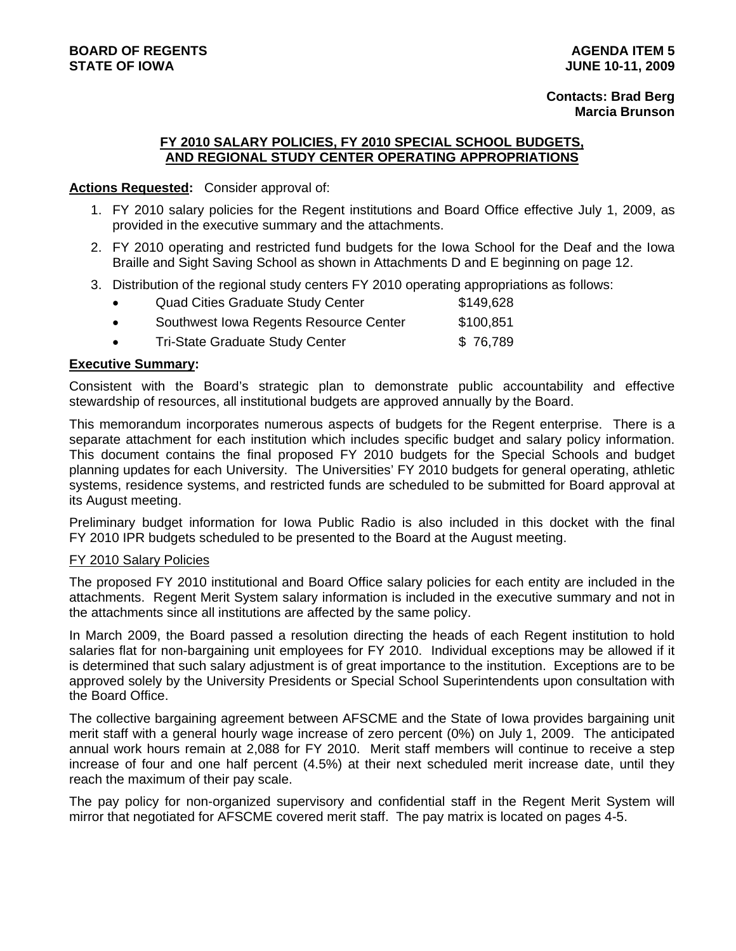# **Contacts: Brad Berg Marcia Brunson**

#### **FY 2010 SALARY POLICIES, FY 2010 SPECIAL SCHOOL BUDGETS, AND REGIONAL STUDY CENTER OPERATING APPROPRIATIONS**

#### **Actions Requested:** Consider approval of:

- 1. FY 2010 salary policies for the Regent institutions and Board Office effective July 1, 2009, as provided in the executive summary and the attachments.
- 2. FY 2010 operating and restricted fund budgets for the Iowa School for the Deaf and the Iowa Braille and Sight Saving School as shown in Attachments D and E beginning on page 12.
- 3. Distribution of the regional study centers FY 2010 operating appropriations as follows:

| <b>Quad Cities Graduate Study Center</b> | \$149,628 |
|------------------------------------------|-----------|
| Southwest Iowa Regents Resource Center   | \$100,851 |
| <b>Tri-State Graduate Study Center</b>   | \$76,789  |
|                                          |           |

#### **Executive Summary:**

Consistent with the Board's strategic plan to demonstrate public accountability and effective stewardship of resources, all institutional budgets are approved annually by the Board.

This memorandum incorporates numerous aspects of budgets for the Regent enterprise. There is a separate attachment for each institution which includes specific budget and salary policy information. This document contains the final proposed FY 2010 budgets for the Special Schools and budget planning updates for each University. The Universities' FY 2010 budgets for general operating, athletic systems, residence systems, and restricted funds are scheduled to be submitted for Board approval at its August meeting.

Preliminary budget information for Iowa Public Radio is also included in this docket with the final FY 2010 IPR budgets scheduled to be presented to the Board at the August meeting.

#### FY 2010 Salary Policies

The proposed FY 2010 institutional and Board Office salary policies for each entity are included in the attachments. Regent Merit System salary information is included in the executive summary and not in the attachments since all institutions are affected by the same policy.

In March 2009, the Board passed a resolution directing the heads of each Regent institution to hold salaries flat for non-bargaining unit employees for FY 2010. Individual exceptions may be allowed if it is determined that such salary adjustment is of great importance to the institution. Exceptions are to be approved solely by the University Presidents or Special School Superintendents upon consultation with the Board Office.

The collective bargaining agreement between AFSCME and the State of Iowa provides bargaining unit merit staff with a general hourly wage increase of zero percent (0%) on July 1, 2009. The anticipated annual work hours remain at 2,088 for FY 2010. Merit staff members will continue to receive a step increase of four and one half percent (4.5%) at their next scheduled merit increase date, until they reach the maximum of their pay scale.

The pay policy for non-organized supervisory and confidential staff in the Regent Merit System will mirror that negotiated for AFSCME covered merit staff. The pay matrix is located on pages 4-5.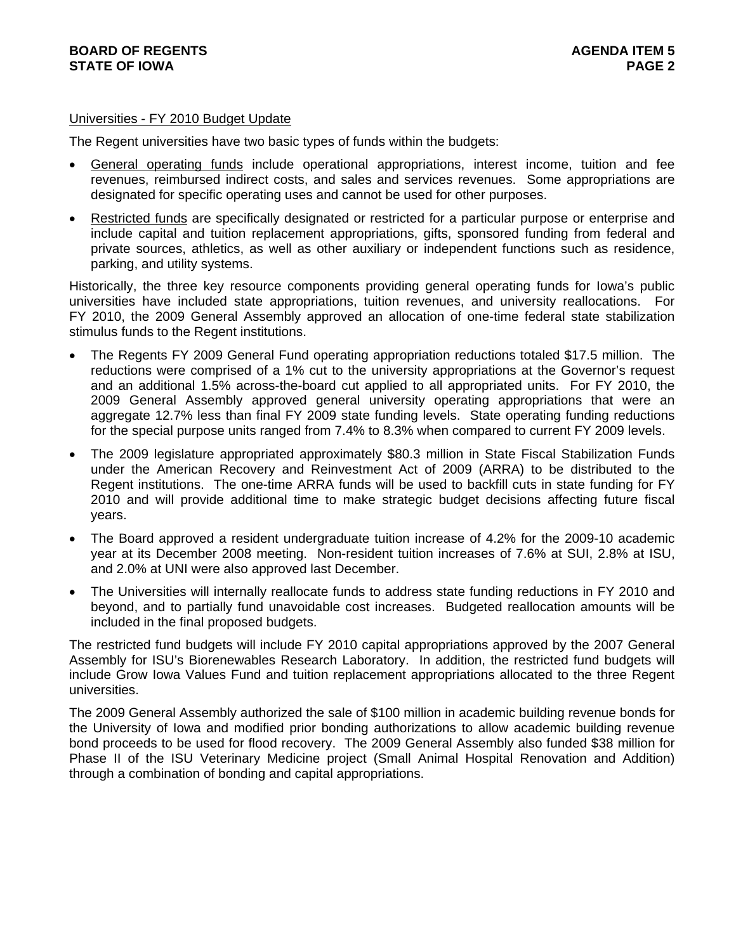#### Universities - FY 2010 Budget Update

The Regent universities have two basic types of funds within the budgets:

- General operating funds include operational appropriations, interest income, tuition and fee revenues, reimbursed indirect costs, and sales and services revenues. Some appropriations are designated for specific operating uses and cannot be used for other purposes.
- Restricted funds are specifically designated or restricted for a particular purpose or enterprise and include capital and tuition replacement appropriations, gifts, sponsored funding from federal and private sources, athletics, as well as other auxiliary or independent functions such as residence, parking, and utility systems.

Historically, the three key resource components providing general operating funds for Iowa's public universities have included state appropriations, tuition revenues, and university reallocations. For FY 2010, the 2009 General Assembly approved an allocation of one-time federal state stabilization stimulus funds to the Regent institutions.

- The Regents FY 2009 General Fund operating appropriation reductions totaled \$17.5 million. The reductions were comprised of a 1% cut to the university appropriations at the Governor's request and an additional 1.5% across-the-board cut applied to all appropriated units. For FY 2010, the 2009 General Assembly approved general university operating appropriations that were an aggregate 12.7% less than final FY 2009 state funding levels. State operating funding reductions for the special purpose units ranged from 7.4% to 8.3% when compared to current FY 2009 levels.
- The 2009 legislature appropriated approximately \$80.3 million in State Fiscal Stabilization Funds under the American Recovery and Reinvestment Act of 2009 (ARRA) to be distributed to the Regent institutions. The one-time ARRA funds will be used to backfill cuts in state funding for FY 2010 and will provide additional time to make strategic budget decisions affecting future fiscal years.
- The Board approved a resident undergraduate tuition increase of 4.2% for the 2009-10 academic year at its December 2008 meeting. Non-resident tuition increases of 7.6% at SUI, 2.8% at ISU, and 2.0% at UNI were also approved last December.
- The Universities will internally reallocate funds to address state funding reductions in FY 2010 and beyond, and to partially fund unavoidable cost increases. Budgeted reallocation amounts will be included in the final proposed budgets.

The restricted fund budgets will include FY 2010 capital appropriations approved by the 2007 General Assembly for ISU's Biorenewables Research Laboratory. In addition, the restricted fund budgets will include Grow Iowa Values Fund and tuition replacement appropriations allocated to the three Regent universities.

The 2009 General Assembly authorized the sale of \$100 million in academic building revenue bonds for the University of Iowa and modified prior bonding authorizations to allow academic building revenue bond proceeds to be used for flood recovery. The 2009 General Assembly also funded \$38 million for Phase II of the ISU Veterinary Medicine project (Small Animal Hospital Renovation and Addition) through a combination of bonding and capital appropriations.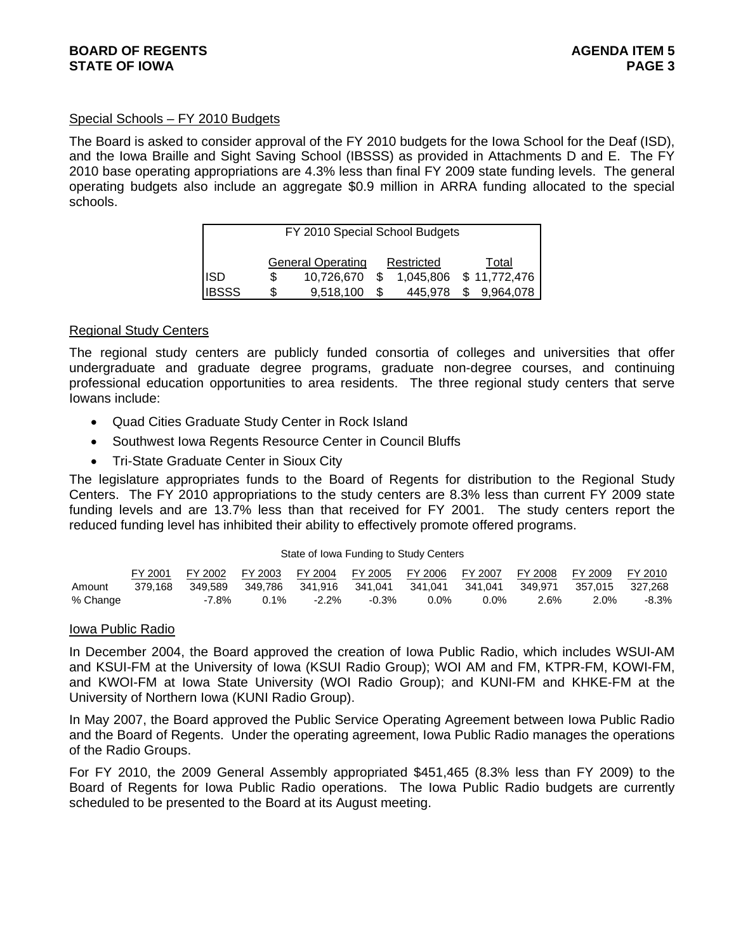# **BOARD OF REGENTS** AGENERATION OF REGENTS **STATE OF IOWA** PAGE 3

# Special Schools – FY 2010 Budgets

The Board is asked to consider approval of the FY 2010 budgets for the Iowa School for the Deaf (ISD), and the Iowa Braille and Sight Saving School (IBSSS) as provided in Attachments D and E. The FY 2010 base operating appropriations are 4.3% less than final FY 2009 state funding levels. The general operating budgets also include an aggregate \$0.9 million in ARRA funding allocated to the special schools.

|              | FY 2010 Special School Budgets         |            |  |         |   |                        |  |
|--------------|----------------------------------------|------------|--|---------|---|------------------------|--|
|              | <b>General Operating</b><br>Restricted |            |  |         |   | Total                  |  |
| <b>ISD</b>   | S                                      | 10,726,670 |  |         |   | 1,045,806 \$11,772,476 |  |
| <b>IBSSS</b> | \$                                     | 9.518.100  |  | 445.978 | S | 9.964.078              |  |

## Regional Study Centers

The regional study centers are publicly funded consortia of colleges and universities that offer undergraduate and graduate degree programs, graduate non-degree courses, and continuing professional education opportunities to area residents. The three regional study centers that serve Iowans include:

- Quad Cities Graduate Study Center in Rock Island
- Southwest Iowa Regents Resource Center in Council Bluffs
- Tri-State Graduate Center in Sioux City

The legislature appropriates funds to the Board of Regents for distribution to the Regional Study Centers. The FY 2010 appropriations to the study centers are 8.3% less than current FY 2009 state funding levels and are 13.7% less than that received for FY 2001. The study centers report the reduced funding level has inhibited their ability to effectively promote offered programs.

#### State of Iowa Funding to Study Centers

|          | FY 2001 | FY 2002 |         |          |         | FY 2003 FY 2004 FY 2005 FY 2006 FY 2007 |                  | FY 2008 FY 2009 |         | FY 2010 |
|----------|---------|---------|---------|----------|---------|-----------------------------------------|------------------|-----------------|---------|---------|
| Amount   | 379.168 | 349.589 | 349.786 |          |         |                                         | 341.041  349.971 |                 | 357.015 | 327.268 |
| % Change |         | -7.8%   | 0.1%    | $-2.2\%$ | $-0.3%$ | $0.0\%$                                 | 0.0%             | 2.6%            | 2.0%    | -8.3%   |

## Iowa Public Radio

In December 2004, the Board approved the creation of Iowa Public Radio, which includes WSUI-AM and KSUI-FM at the University of Iowa (KSUI Radio Group); WOI AM and FM, KTPR-FM, KOWI-FM, and KWOI-FM at Iowa State University (WOI Radio Group); and KUNI-FM and KHKE-FM at the University of Northern Iowa (KUNI Radio Group).

In May 2007, the Board approved the Public Service Operating Agreement between Iowa Public Radio and the Board of Regents. Under the operating agreement, Iowa Public Radio manages the operations of the Radio Groups.

For FY 2010, the 2009 General Assembly appropriated \$451,465 (8.3% less than FY 2009) to the Board of Regents for Iowa Public Radio operations. The Iowa Public Radio budgets are currently scheduled to be presented to the Board at its August meeting.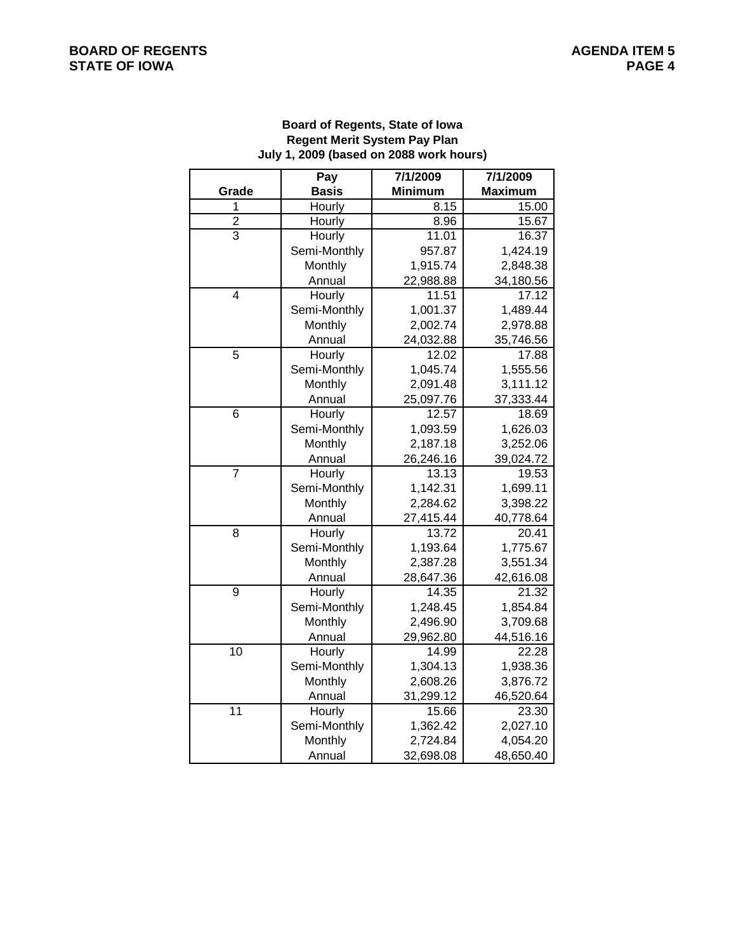# **Board of Regents, State of Iowa Regent Merit System Pay Plan July 1, 2009 (based on 2088 work hours)**

|                 | Pay          | 7/1/2009       | 7/1/2009           |
|-----------------|--------------|----------------|--------------------|
| Grade           | <b>Basis</b> | <b>Minimum</b> | <b>Maximum</b>     |
| 1               | Hourly       | 8.15           | 15.00              |
| $\overline{2}$  | Hourly       | 8.96           | 15.67              |
| $\overline{3}$  | Hourly       | 11.01          | 16.37              |
|                 | Semi-Monthly | 957.87         | 1,424.19           |
|                 | Monthly      | 1,915.74       | 2,848.38           |
|                 | Annual       | 22,988.88      | 34,180.56          |
| 4               | Hourly       | 11.51          | $17.\overline{12}$ |
|                 | Semi-Monthly | 1,001.37       | 1,489.44           |
|                 | Monthly      | 2,002.74       | 2,978.88           |
|                 | Annual       | 24,032.88      | 35,746.56          |
| 5               | Hourly       | 12.02          | 17.88              |
|                 | Semi-Monthly | 1,045.74       | 1,555.56           |
|                 | Monthly      | 2,091.48       | 3,111.12           |
|                 | Annual       | 25,097.76      | 37,333.44          |
| 6               | Hourly       | 12.57          | 18.69              |
|                 | Semi-Monthly | 1,093.59       | 1,626.03           |
|                 | Monthly      | 2,187.18       | 3,252.06           |
|                 | Annual       | 26,246.16      | 39,024.72          |
| $\overline{7}$  | Hourly       | 13.13          | 19.53              |
|                 | Semi-Monthly | 1,142.31       | 1,699.11           |
|                 | Monthly      | 2,284.62       | 3,398.22           |
|                 | Annual       | 27,415.44      | 40,778.64          |
| 8               | Hourly       | 13.72          | 20.41              |
|                 | Semi-Monthly | 1,193.64       | 1,775.67           |
|                 | Monthly      | 2,387.28       | 3,551.34           |
|                 | Annual       | 28,647.36      | 42,616.08          |
| 9               | Hourly       | 14.35          | 21.32              |
|                 | Semi-Monthly | 1,248.45       | 1,854.84           |
|                 | Monthly      | 2,496.90       | 3,709.68           |
|                 | Annual       | 29,962.80      | 44,516.16          |
| $\overline{10}$ | Hourly       | 14.99          | 22.28              |
|                 | Semi-Monthly | 1,304.13       | 1,938.36           |
|                 | Monthly      | 2,608.26       | 3,876.72           |
|                 | Annual       | 31,299.12      | 46,520.64          |
| $\overline{11}$ | Hourly       | 15.66          | 23.30              |
|                 | Semi-Monthly | 1,362.42       | 2,027.10           |
|                 | Monthly      | 2,724.84       | 4,054.20           |
|                 | Annual       | 32,698.08      | 48,650.40          |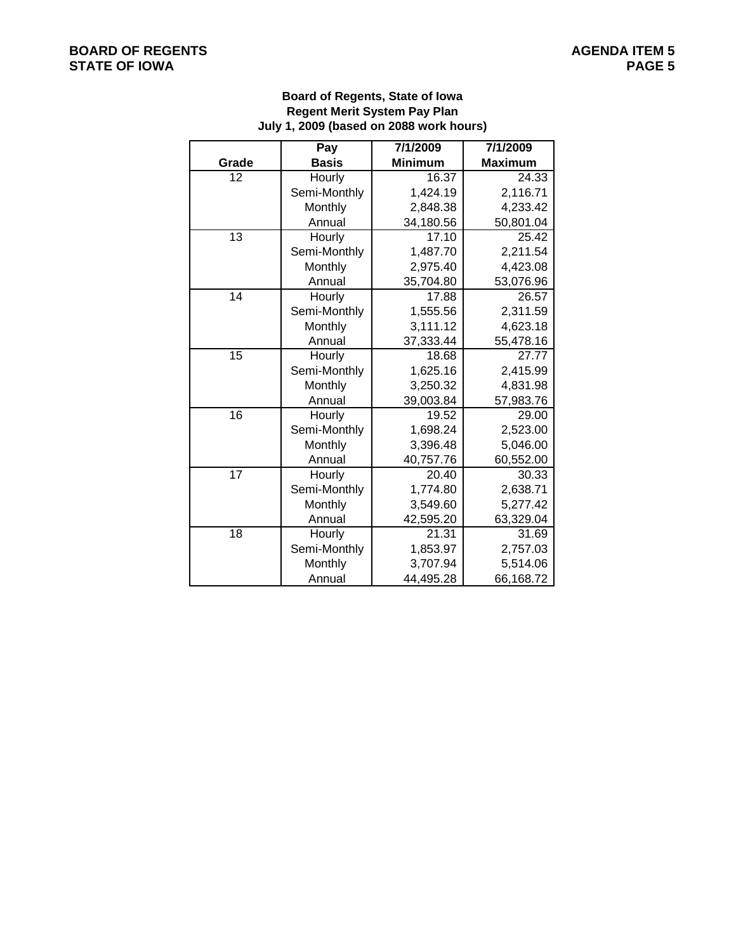# **BOARD OF REGENTS**<br> **BOARD OF REGENTS**<br> **BOARD OF IOWA**<br>
PAGE 5 **STATE OF IOWA**

# **Board of Regents, State of Iowa Regent Merit System Pay Plan July 1, 2009 (based on 2088 work hours)**

|                 | Pay          | 7/1/2009       | 7/1/2009       |
|-----------------|--------------|----------------|----------------|
| Grade           | <b>Basis</b> | <b>Minimum</b> | <b>Maximum</b> |
| 12              | Hourly       | 16.37          | 24.33          |
|                 | Semi-Monthly | 1,424.19       | 2,116.71       |
|                 | Monthly      | 2,848.38       | 4,233.42       |
|                 | Annual       | 34,180.56      | 50,801.04      |
| 13              | Hourly       | 17.10          | 25.42          |
|                 | Semi-Monthly | 1,487.70       | 2,211.54       |
|                 | Monthly      | 2,975.40       | 4,423.08       |
|                 | Annual       | 35,704.80      | 53,076.96      |
| 14              | Hourly       | 17.88          | 26.57          |
|                 | Semi-Monthly | 1,555.56       | 2,311.59       |
|                 | Monthly      | 3,111.12       | 4,623.18       |
|                 | Annual       | 37,333.44      | 55,478.16      |
| $\overline{15}$ | Hourly       | 18.68          | 27.77          |
|                 | Semi-Monthly | 1,625.16       | 2,415.99       |
|                 | Monthly      | 3,250.32       | 4,831.98       |
|                 | Annual       | 39,003.84      | 57,983.76      |
| 16              | Hourly       | 19.52          | 29.00          |
|                 | Semi-Monthly | 1,698.24       | 2,523.00       |
|                 | Monthly      | 3,396.48       | 5,046.00       |
|                 | Annual       | 40,757.76      | 60,552.00      |
| 17              | Hourly       | 20.40          | 30.33          |
|                 | Semi-Monthly | 1,774.80       | 2,638.71       |
|                 | Monthly      | 3,549.60       | 5,277.42       |
|                 | Annual       | 42,595.20      | 63,329.04      |
| 18              | Hourly       | 21.31          | 31.69          |
|                 | Semi-Monthly | 1,853.97       | 2,757.03       |
|                 | Monthly      | 3,707.94       | 5,514.06       |
|                 | Annual       | 44,495.28      | 66,168.72      |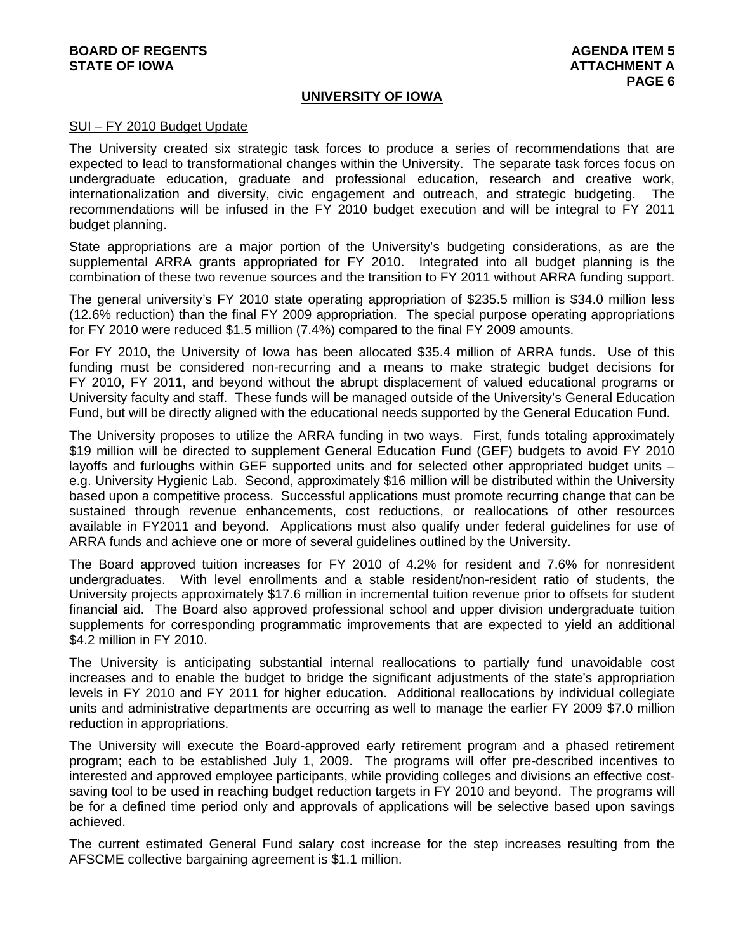# **BOARD OF REGENTS AGENTS** AGENERATION OF REGENTS **STATE OF IOWA AND RESERVE A LOCAL CONSUMING A LOCAL CONSUMING A LOCAL CONSUMING A LOCAL CONSUMING A LOCAL CONSUMING A LOCAL CONSUMING A LOCAL CONSUMING A LOCAL CONSUMING A LOCAL CONSUMING A LOCAL CONSUMING A LOCAL CONSUMI**

# **UNIVERSITY OF IOWA**

#### SUI – FY 2010 Budget Update

The University created six strategic task forces to produce a series of recommendations that are expected to lead to transformational changes within the University. The separate task forces focus on undergraduate education, graduate and professional education, research and creative work, internationalization and diversity, civic engagement and outreach, and strategic budgeting. The recommendations will be infused in the FY 2010 budget execution and will be integral to FY 2011 budget planning.

State appropriations are a major portion of the University's budgeting considerations, as are the supplemental ARRA grants appropriated for FY 2010. Integrated into all budget planning is the combination of these two revenue sources and the transition to FY 2011 without ARRA funding support.

The general university's FY 2010 state operating appropriation of \$235.5 million is \$34.0 million less (12.6% reduction) than the final FY 2009 appropriation. The special purpose operating appropriations for FY 2010 were reduced \$1.5 million (7.4%) compared to the final FY 2009 amounts.

For FY 2010, the University of Iowa has been allocated \$35.4 million of ARRA funds. Use of this funding must be considered non-recurring and a means to make strategic budget decisions for FY 2010, FY 2011, and beyond without the abrupt displacement of valued educational programs or University faculty and staff. These funds will be managed outside of the University's General Education Fund, but will be directly aligned with the educational needs supported by the General Education Fund.

The University proposes to utilize the ARRA funding in two ways. First, funds totaling approximately \$19 million will be directed to supplement General Education Fund (GEF) budgets to avoid FY 2010 layoffs and furloughs within GEF supported units and for selected other appropriated budget units – e.g. University Hygienic Lab. Second, approximately \$16 million will be distributed within the University based upon a competitive process. Successful applications must promote recurring change that can be sustained through revenue enhancements, cost reductions, or reallocations of other resources available in FY2011 and beyond. Applications must also qualify under federal guidelines for use of ARRA funds and achieve one or more of several guidelines outlined by the University.

The Board approved tuition increases for FY 2010 of 4.2% for resident and 7.6% for nonresident undergraduates. With level enrollments and a stable resident/non-resident ratio of students, the University projects approximately \$17.6 million in incremental tuition revenue prior to offsets for student financial aid. The Board also approved professional school and upper division undergraduate tuition supplements for corresponding programmatic improvements that are expected to yield an additional \$4.2 million in FY 2010.

The University is anticipating substantial internal reallocations to partially fund unavoidable cost increases and to enable the budget to bridge the significant adjustments of the state's appropriation levels in FY 2010 and FY 2011 for higher education. Additional reallocations by individual collegiate units and administrative departments are occurring as well to manage the earlier FY 2009 \$7.0 million reduction in appropriations.

The University will execute the Board-approved early retirement program and a phased retirement program; each to be established July 1, 2009. The programs will offer pre-described incentives to interested and approved employee participants, while providing colleges and divisions an effective costsaving tool to be used in reaching budget reduction targets in FY 2010 and beyond. The programs will be for a defined time period only and approvals of applications will be selective based upon savings achieved.

The current estimated General Fund salary cost increase for the step increases resulting from the AFSCME collective bargaining agreement is \$1.1 million.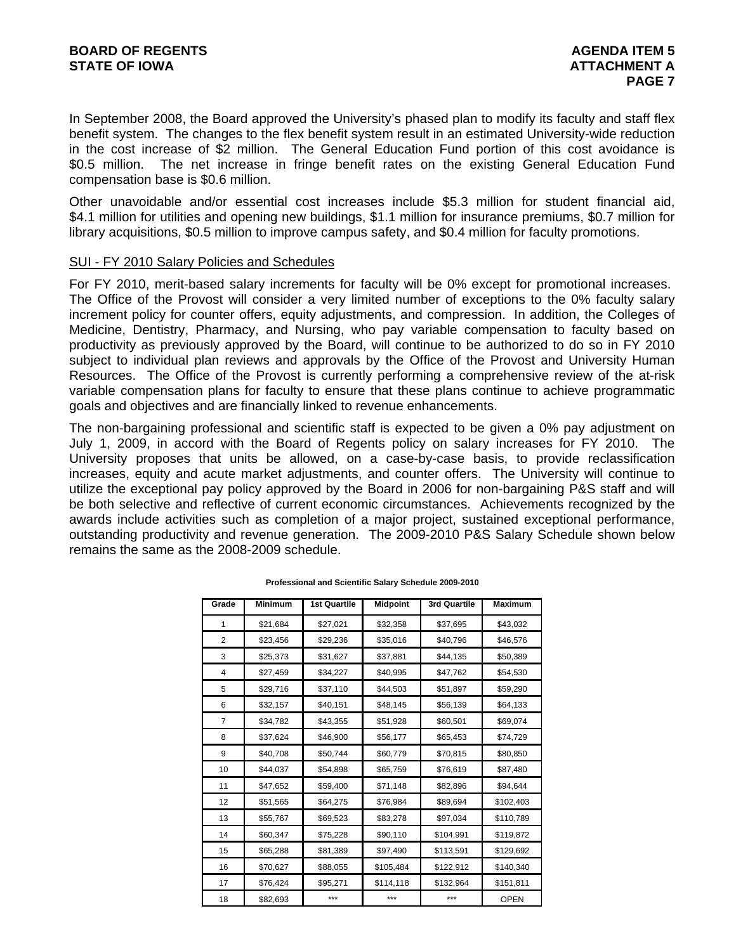In September 2008, the Board approved the University's phased plan to modify its faculty and staff flex benefit system. The changes to the flex benefit system result in an estimated University-wide reduction in the cost increase of \$2 million. The General Education Fund portion of this cost avoidance is \$0.5 million. The net increase in fringe benefit rates on the existing General Education Fund compensation base is \$0.6 million.

Other unavoidable and/or essential cost increases include \$5.3 million for student financial aid, \$4.1 million for utilities and opening new buildings, \$1.1 million for insurance premiums, \$0.7 million for library acquisitions, \$0.5 million to improve campus safety, and \$0.4 million for faculty promotions.

#### SUI - FY 2010 Salary Policies and Schedules

For FY 2010, merit-based salary increments for faculty will be 0% except for promotional increases. The Office of the Provost will consider a very limited number of exceptions to the 0% faculty salary increment policy for counter offers, equity adjustments, and compression. In addition, the Colleges of Medicine, Dentistry, Pharmacy, and Nursing, who pay variable compensation to faculty based on productivity as previously approved by the Board, will continue to be authorized to do so in FY 2010 subject to individual plan reviews and approvals by the Office of the Provost and University Human Resources. The Office of the Provost is currently performing a comprehensive review of the at-risk variable compensation plans for faculty to ensure that these plans continue to achieve programmatic goals and objectives and are financially linked to revenue enhancements.

The non-bargaining professional and scientific staff is expected to be given a 0% pay adjustment on July 1, 2009, in accord with the Board of Regents policy on salary increases for FY 2010. The University proposes that units be allowed, on a case-by-case basis, to provide reclassification increases, equity and acute market adjustments, and counter offers. The University will continue to utilize the exceptional pay policy approved by the Board in 2006 for non-bargaining P&S staff and will be both selective and reflective of current economic circumstances. Achievements recognized by the awards include activities such as completion of a major project, sustained exceptional performance, outstanding productivity and revenue generation. The 2009-2010 P&S Salary Schedule shown below remains the same as the 2008-2009 schedule.

| Grade          | <b>Minimum</b> | <b>1st Quartile</b> | <b>Midpoint</b> | 3rd Quartile | <b>Maximum</b> |
|----------------|----------------|---------------------|-----------------|--------------|----------------|
| 1              | \$21,684       | \$27,021            | \$32,358        | \$37,695     | \$43,032       |
| $\overline{2}$ | \$23,456       | \$29,236            | \$35,016        | \$40,796     | \$46,576       |
| 3              | \$25,373       | \$31,627            | \$37,881        | \$44,135     | \$50,389       |
| 4              | \$27,459       | \$34,227            | \$40,995        | \$47,762     | \$54,530       |
| 5              | \$29,716       | \$37,110            | \$44,503        | \$51,897     | \$59,290       |
| 6              | \$32,157       | \$40,151            | \$48,145        | \$56,139     | \$64,133       |
| $\overline{7}$ | \$34,782       | \$43,355            | \$51,928        | \$60,501     | \$69,074       |
| 8              | \$37,624       | \$46,900            | \$56,177        | \$65,453     | \$74,729       |
| 9              | \$40,708       | \$50,744            | \$60,779        | \$70,815     | \$80,850       |
| 10             | \$44,037       | \$54,898            | \$65,759        | \$76,619     | \$87,480       |
| 11             | \$47,652       | \$59,400            | \$71,148        | \$82,896     | \$94,644       |
| 12             | \$51,565       | \$64,275            | \$76,984        | \$89,694     | \$102,403      |
| 13             | \$55,767       | \$69,523            | \$83,278        | \$97,034     | \$110,789      |
| 14             | \$60,347       | \$75,228            | \$90,110        | \$104,991    | \$119,872      |
| 15             | \$65,288       | \$81,389            | \$97,490        | \$113,591    | \$129,692      |
| 16             | \$70,627       | \$88,055            | \$105,484       | \$122,912    | \$140,340      |
| 17             | \$76,424       | \$95,271            | \$114,118       | \$132,964    | \$151,811      |
| 18             | \$82,693       | ***                 | ***             | ***          | <b>OPEN</b>    |

**Professional and Scientific Salary Schedule 2009-2010**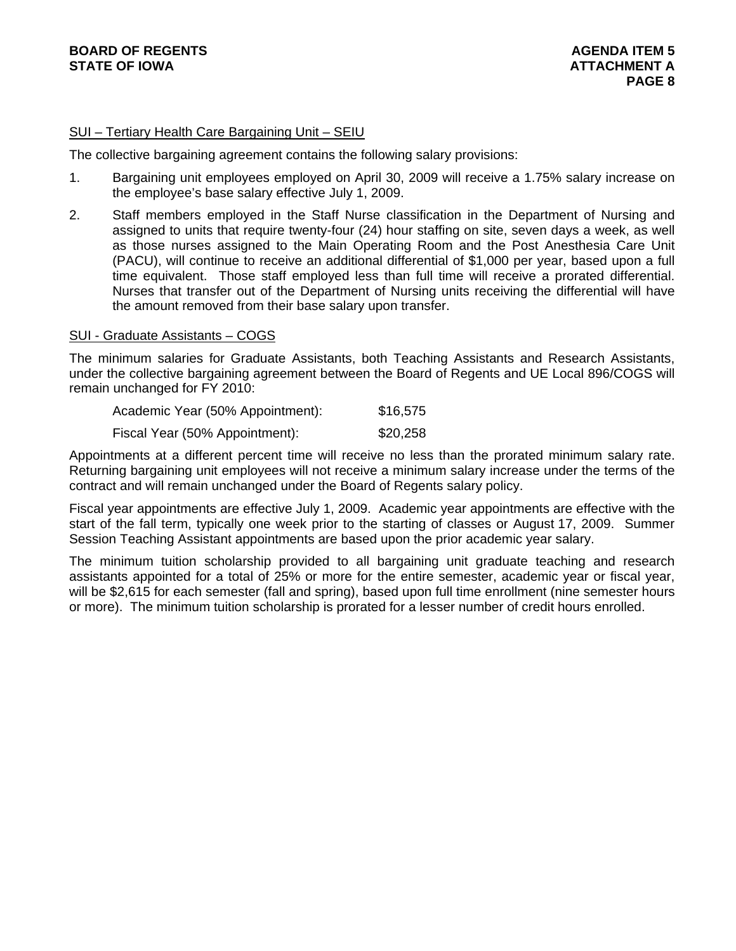# SUI – Tertiary Health Care Bargaining Unit – SEIU

The collective bargaining agreement contains the following salary provisions:

- 1. Bargaining unit employees employed on April 30, 2009 will receive a 1.75% salary increase on the employee's base salary effective July 1, 2009.
- 2. Staff members employed in the Staff Nurse classification in the Department of Nursing and assigned to units that require twenty-four (24) hour staffing on site, seven days a week, as well as those nurses assigned to the Main Operating Room and the Post Anesthesia Care Unit (PACU), will continue to receive an additional differential of \$1,000 per year, based upon a full time equivalent. Those staff employed less than full time will receive a prorated differential. Nurses that transfer out of the Department of Nursing units receiving the differential will have the amount removed from their base salary upon transfer.

#### SUI - Graduate Assistants – COGS

The minimum salaries for Graduate Assistants, both Teaching Assistants and Research Assistants, under the collective bargaining agreement between the Board of Regents and UE Local 896/COGS will remain unchanged for FY 2010:

| Academic Year (50% Appointment): | \$16,575 |
|----------------------------------|----------|
| Fiscal Year (50% Appointment):   | \$20,258 |

Appointments at a different percent time will receive no less than the prorated minimum salary rate. Returning bargaining unit employees will not receive a minimum salary increase under the terms of the contract and will remain unchanged under the Board of Regents salary policy.

Fiscal year appointments are effective July 1, 2009. Academic year appointments are effective with the start of the fall term, typically one week prior to the starting of classes or August 17, 2009. Summer Session Teaching Assistant appointments are based upon the prior academic year salary.

The minimum tuition scholarship provided to all bargaining unit graduate teaching and research assistants appointed for a total of 25% or more for the entire semester, academic year or fiscal year, will be \$2,615 for each semester (fall and spring), based upon full time enrollment (nine semester hours or more). The minimum tuition scholarship is prorated for a lesser number of credit hours enrolled.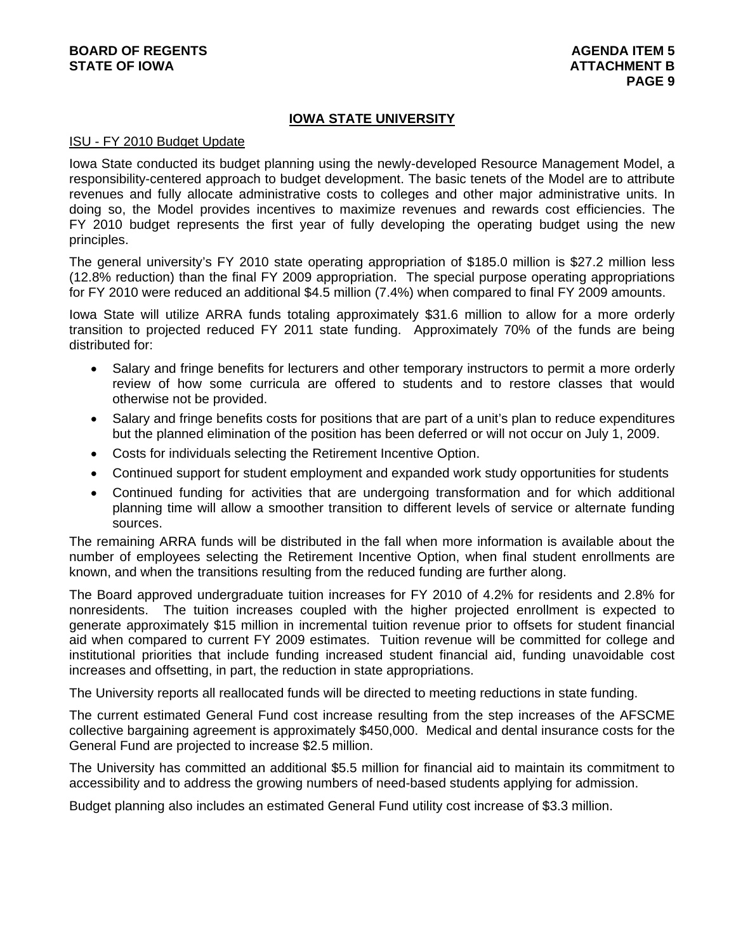# **IOWA STATE UNIVERSITY**

#### ISU - FY 2010 Budget Update

Iowa State conducted its budget planning using the newly-developed Resource Management Model, a responsibility-centered approach to budget development. The basic tenets of the Model are to attribute revenues and fully allocate administrative costs to colleges and other major administrative units. In doing so, the Model provides incentives to maximize revenues and rewards cost efficiencies. The FY 2010 budget represents the first year of fully developing the operating budget using the new principles.

The general university's FY 2010 state operating appropriation of \$185.0 million is \$27.2 million less (12.8% reduction) than the final FY 2009 appropriation. The special purpose operating appropriations for FY 2010 were reduced an additional \$4.5 million (7.4%) when compared to final FY 2009 amounts.

Iowa State will utilize ARRA funds totaling approximately \$31.6 million to allow for a more orderly transition to projected reduced FY 2011 state funding. Approximately 70% of the funds are being distributed for:

- Salary and fringe benefits for lecturers and other temporary instructors to permit a more orderly review of how some curricula are offered to students and to restore classes that would otherwise not be provided.
- Salary and fringe benefits costs for positions that are part of a unit's plan to reduce expenditures but the planned elimination of the position has been deferred or will not occur on July 1, 2009.
- Costs for individuals selecting the Retirement Incentive Option.
- Continued support for student employment and expanded work study opportunities for students
- Continued funding for activities that are undergoing transformation and for which additional planning time will allow a smoother transition to different levels of service or alternate funding sources.

The remaining ARRA funds will be distributed in the fall when more information is available about the number of employees selecting the Retirement Incentive Option, when final student enrollments are known, and when the transitions resulting from the reduced funding are further along.

The Board approved undergraduate tuition increases for FY 2010 of 4.2% for residents and 2.8% for nonresidents. The tuition increases coupled with the higher projected enrollment is expected to generate approximately \$15 million in incremental tuition revenue prior to offsets for student financial aid when compared to current FY 2009 estimates. Tuition revenue will be committed for college and institutional priorities that include funding increased student financial aid, funding unavoidable cost increases and offsetting, in part, the reduction in state appropriations.

The University reports all reallocated funds will be directed to meeting reductions in state funding.

The current estimated General Fund cost increase resulting from the step increases of the AFSCME collective bargaining agreement is approximately \$450,000. Medical and dental insurance costs for the General Fund are projected to increase \$2.5 million.

The University has committed an additional \$5.5 million for financial aid to maintain its commitment to accessibility and to address the growing numbers of need-based students applying for admission.

Budget planning also includes an estimated General Fund utility cost increase of \$3.3 million.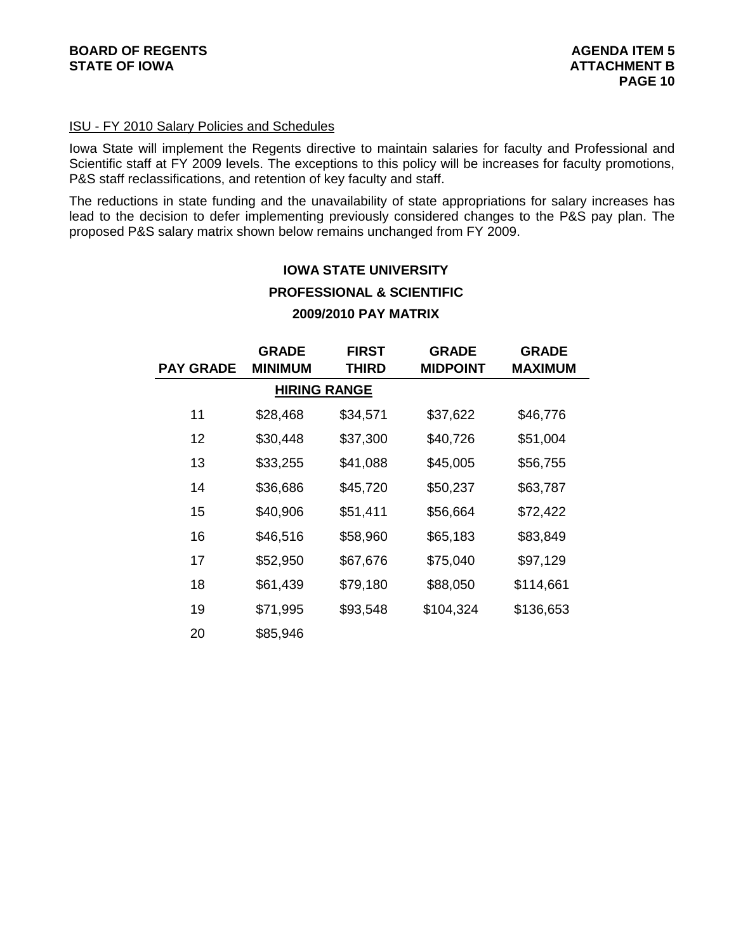# ISU - FY 2010 Salary Policies and Schedules

Iowa State will implement the Regents directive to maintain salaries for faculty and Professional and Scientific staff at FY 2009 levels. The exceptions to this policy will be increases for faculty promotions, P&S staff reclassifications, and retention of key faculty and staff.

The reductions in state funding and the unavailability of state appropriations for salary increases has lead to the decision to defer implementing previously considered changes to the P&S pay plan. The proposed P&S salary matrix shown below remains unchanged from FY 2009.

# **IOWA STATE UNIVERSITY PROFESSIONAL & SCIENTIFIC 2009/2010 PAY MATRIX**

| <b>PAY GRADE</b> | <b>GRADE</b><br><b>MINIMUM</b> | <b>FIRST</b><br>THIRD | <b>GRADE</b><br><b>MIDPOINT</b> | <b>GRADE</b><br><b>MAXIMUM</b> |
|------------------|--------------------------------|-----------------------|---------------------------------|--------------------------------|
|                  | <b>HIRING RANGE</b>            |                       |                                 |                                |
| 11               | \$28,468                       | \$34,571              | \$37,622                        | \$46,776                       |
| 12               | \$30,448                       | \$37,300              | \$40,726                        | \$51,004                       |
| 13               | \$33,255                       | \$41,088              | \$45,005                        | \$56,755                       |
| 14               | \$36,686                       | \$45,720              | \$50,237                        | \$63,787                       |
| 15               | \$40,906                       | \$51,411              | \$56,664                        | \$72,422                       |
| 16               | \$46,516                       | \$58,960              | \$65,183                        | \$83,849                       |
| 17               | \$52,950                       | \$67,676              | \$75,040                        | \$97,129                       |
| 18               | \$61,439                       | \$79,180              | \$88,050                        | \$114,661                      |
| 19               | \$71,995                       | \$93,548              | \$104,324                       | \$136,653                      |
| 20               | \$85,946                       |                       |                                 |                                |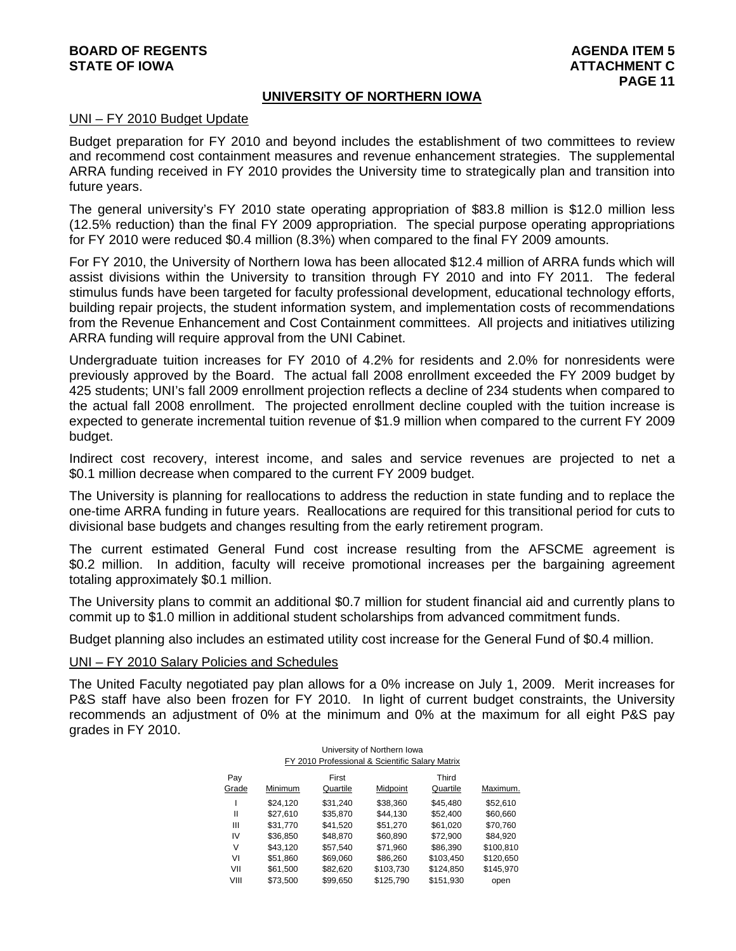# **BOARD OF REGENTS AGENTS** AGENERATION OF REGENTS **STATE OF IOWA ATTACHMENT C**  $\blacksquare$

#### **UNIVERSITY OF NORTHERN IOWA**

#### UNI – FY 2010 Budget Update

Budget preparation for FY 2010 and beyond includes the establishment of two committees to review and recommend cost containment measures and revenue enhancement strategies. The supplemental ARRA funding received in FY 2010 provides the University time to strategically plan and transition into future years.

The general university's FY 2010 state operating appropriation of \$83.8 million is \$12.0 million less (12.5% reduction) than the final FY 2009 appropriation. The special purpose operating appropriations for FY 2010 were reduced \$0.4 million (8.3%) when compared to the final FY 2009 amounts.

For FY 2010, the University of Northern Iowa has been allocated \$12.4 million of ARRA funds which will assist divisions within the University to transition through FY 2010 and into FY 2011. The federal stimulus funds have been targeted for faculty professional development, educational technology efforts, building repair projects, the student information system, and implementation costs of recommendations from the Revenue Enhancement and Cost Containment committees. All projects and initiatives utilizing ARRA funding will require approval from the UNI Cabinet.

Undergraduate tuition increases for FY 2010 of 4.2% for residents and 2.0% for nonresidents were previously approved by the Board. The actual fall 2008 enrollment exceeded the FY 2009 budget by 425 students; UNI's fall 2009 enrollment projection reflects a decline of 234 students when compared to the actual fall 2008 enrollment. The projected enrollment decline coupled with the tuition increase is expected to generate incremental tuition revenue of \$1.9 million when compared to the current FY 2009 budget.

Indirect cost recovery, interest income, and sales and service revenues are projected to net a \$0.1 million decrease when compared to the current FY 2009 budget.

The University is planning for reallocations to address the reduction in state funding and to replace the one-time ARRA funding in future years. Reallocations are required for this transitional period for cuts to divisional base budgets and changes resulting from the early retirement program.

The current estimated General Fund cost increase resulting from the AFSCME agreement is \$0.2 million. In addition, faculty will receive promotional increases per the bargaining agreement totaling approximately \$0.1 million.

The University plans to commit an additional \$0.7 million for student financial aid and currently plans to commit up to \$1.0 million in additional student scholarships from advanced commitment funds.

Budget planning also includes an estimated utility cost increase for the General Fund of \$0.4 million.

#### UNI – FY 2010 Salary Policies and Schedules

The United Faculty negotiated pay plan allows for a 0% increase on July 1, 2009. Merit increases for P&S staff have also been frozen for FY 2010. In light of current budget constraints, the University recommends an adjustment of 0% at the minimum and 0% at the maximum for all eight P&S pay grades in FY 2010.

| University of Northern Iowa |                                                 |          |           |           |           |  |  |  |  |  |
|-----------------------------|-------------------------------------------------|----------|-----------|-----------|-----------|--|--|--|--|--|
|                             | FY 2010 Professional & Scientific Salary Matrix |          |           |           |           |  |  |  |  |  |
| Pay                         |                                                 | First    |           | Third     |           |  |  |  |  |  |
| Grade                       | Minimum                                         | Quartile | Midpoint  | Quartile  | Maximum.  |  |  |  |  |  |
|                             | \$24.120                                        | \$31.240 | \$38,360  | \$45.480  | \$52.610  |  |  |  |  |  |
| Ш                           | \$27.610                                        | \$35.870 | \$44.130  | \$52.400  | \$60.660  |  |  |  |  |  |
| Ш                           | \$31,770                                        | \$41,520 | \$51,270  | \$61,020  | \$70,760  |  |  |  |  |  |
| IV                          | \$36.850                                        | \$48.870 | \$60.890  | \$72.900  | \$84.920  |  |  |  |  |  |
| V                           | \$43,120                                        | \$57,540 | \$71,960  | \$86,390  | \$100,810 |  |  |  |  |  |
| V١                          | \$51.860                                        | \$69,060 | \$86,260  | \$103,450 | \$120.650 |  |  |  |  |  |
| VII                         | \$61,500                                        | \$82,620 | \$103,730 | \$124,850 | \$145,970 |  |  |  |  |  |
| VIII                        | \$73.500                                        | \$99.650 | \$125.790 | \$151.930 | open      |  |  |  |  |  |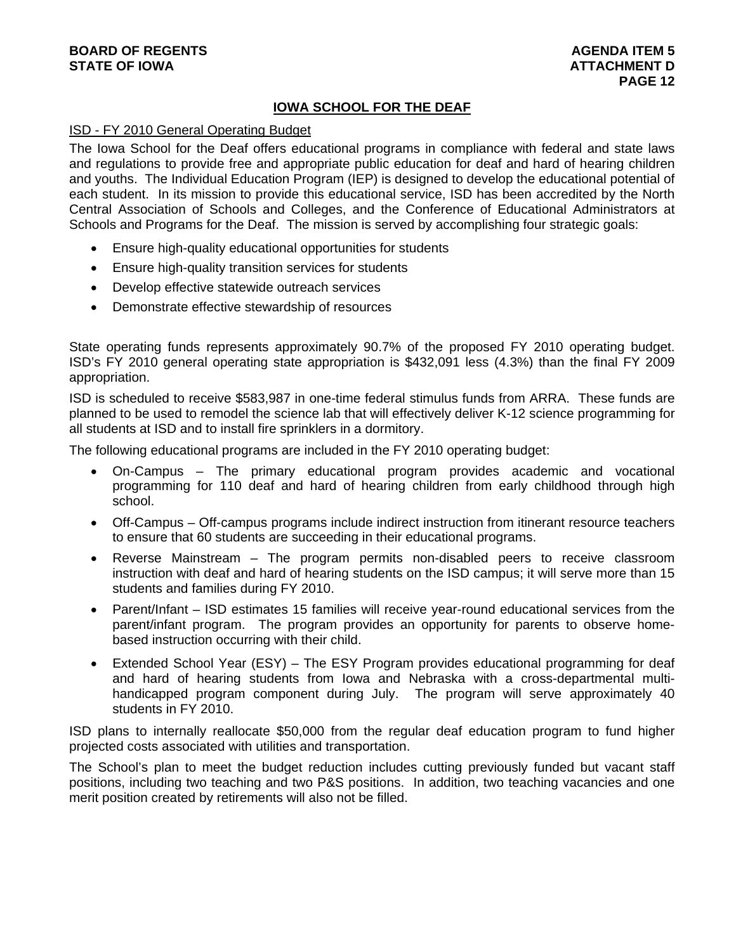# **BOARD OF REGENTS AGENUS AGENERATION CONSUMING A LIGHT AGENUA ITEM 5 STATE OF IOWA ATTACHMENT D**

# **IOWA SCHOOL FOR THE DEAF**

#### ISD - FY 2010 General Operating Budget

The Iowa School for the Deaf offers educational programs in compliance with federal and state laws and regulations to provide free and appropriate public education for deaf and hard of hearing children and youths. The Individual Education Program (IEP) is designed to develop the educational potential of each student. In its mission to provide this educational service, ISD has been accredited by the North Central Association of Schools and Colleges, and the Conference of Educational Administrators at Schools and Programs for the Deaf. The mission is served by accomplishing four strategic goals:

- Ensure high-quality educational opportunities for students
- Ensure high-quality transition services for students
- Develop effective statewide outreach services
- Demonstrate effective stewardship of resources

State operating funds represents approximately 90.7% of the proposed FY 2010 operating budget. ISD's FY 2010 general operating state appropriation is \$432,091 less (4.3%) than the final FY 2009 appropriation.

ISD is scheduled to receive \$583,987 in one-time federal stimulus funds from ARRA. These funds are planned to be used to remodel the science lab that will effectively deliver K-12 science programming for all students at ISD and to install fire sprinklers in a dormitory.

The following educational programs are included in the FY 2010 operating budget:

- On-Campus The primary educational program provides academic and vocational programming for 110 deaf and hard of hearing children from early childhood through high school.
- Off-Campus Off-campus programs include indirect instruction from itinerant resource teachers to ensure that 60 students are succeeding in their educational programs.
- Reverse Mainstream The program permits non-disabled peers to receive classroom instruction with deaf and hard of hearing students on the ISD campus; it will serve more than 15 students and families during FY 2010.
- Parent/Infant ISD estimates 15 families will receive year-round educational services from the parent/infant program. The program provides an opportunity for parents to observe homebased instruction occurring with their child.
- Extended School Year (ESY) The ESY Program provides educational programming for deaf and hard of hearing students from Iowa and Nebraska with a cross-departmental multihandicapped program component during July. The program will serve approximately 40 students in FY 2010.

ISD plans to internally reallocate \$50,000 from the regular deaf education program to fund higher projected costs associated with utilities and transportation.

The School's plan to meet the budget reduction includes cutting previously funded but vacant staff positions, including two teaching and two P&S positions. In addition, two teaching vacancies and one merit position created by retirements will also not be filled.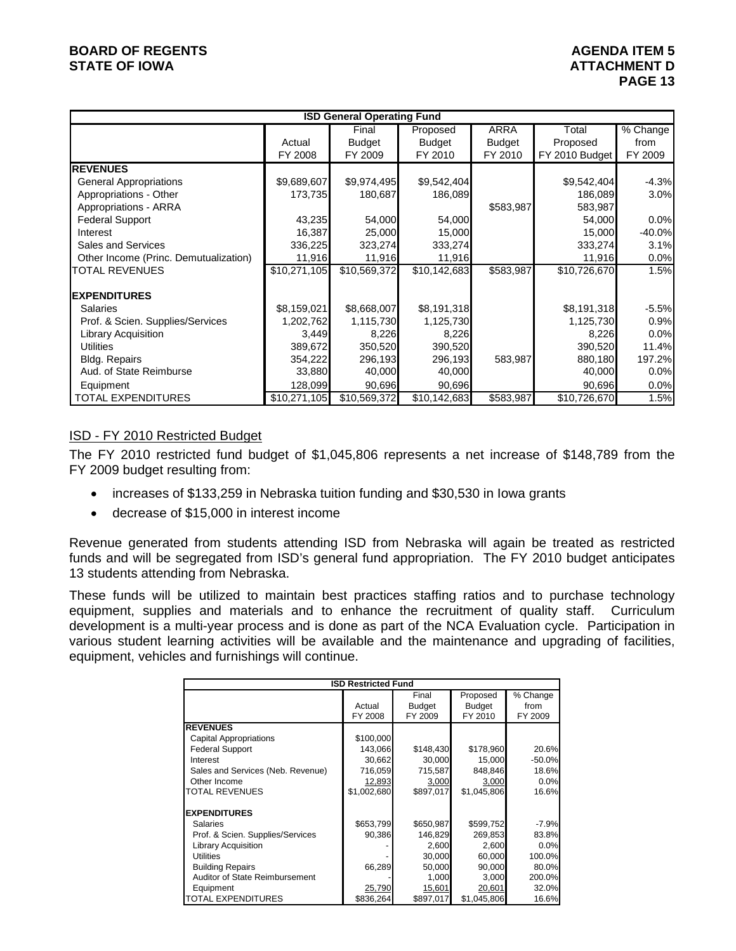# **BOARD OF REGENTS** AGENERATION OF REGENTS **STATE OF IOWA ATTACHMENT D**

|                                       | <b>ISD General Operating Fund</b> |               |               |               |                |          |  |  |
|---------------------------------------|-----------------------------------|---------------|---------------|---------------|----------------|----------|--|--|
|                                       |                                   | Final         | Proposed      | <b>ARRA</b>   | Total          | % Change |  |  |
|                                       | Actual                            | <b>Budget</b> | <b>Budget</b> | <b>Budget</b> | Proposed       | from     |  |  |
|                                       | FY 2008                           | FY 2009       | FY 2010       | FY 2010       | FY 2010 Budget | FY 2009  |  |  |
| <b>REVENUES</b>                       |                                   |               |               |               |                |          |  |  |
| <b>General Appropriations</b>         | \$9,689,607                       | \$9,974,495   | \$9,542,404   |               | \$9,542,404    | $-4.3%$  |  |  |
| Appropriations - Other                | 173,735                           | 180,687       | 186,089       |               | 186,089        | 3.0%     |  |  |
| Appropriations - ARRA                 |                                   |               |               | \$583,987     | 583,987        |          |  |  |
| <b>Federal Support</b>                | 43,235                            | 54,000        | 54,000        |               | 54,000         | 0.0%     |  |  |
| Interest                              | 16,387                            | 25,000        | 15,000        |               | 15,000         | $-40.0%$ |  |  |
| Sales and Services                    | 336,225                           | 323,274       | 333,274       |               | 333,274        | 3.1%     |  |  |
| Other Income (Princ. Demutualization) | 11,916                            | 11,916        | 11,916        |               | 11,916         | 0.0%     |  |  |
| <b>TOTAL REVENUES</b>                 | \$10,271,105                      | \$10,569,372  | \$10,142,683  | \$583,987     | \$10,726,670   | 1.5%     |  |  |
| <b>EXPENDITURES</b>                   |                                   |               |               |               |                |          |  |  |
| <b>Salaries</b>                       | \$8,159,021                       | \$8,668,007   | \$8,191,318   |               | \$8,191,318    | $-5.5%$  |  |  |
| Prof. & Scien. Supplies/Services      | 1,202,762                         | 1,115,730     | 1,125,730     |               | 1,125,730      | 0.9%     |  |  |
| <b>Library Acquisition</b>            | 3,449                             | 8,226         | 8,226         |               | 8,226          | 0.0%     |  |  |
| <b>Utilities</b>                      | 389,672                           | 350,520       | 390,520       |               | 390,520        | 11.4%    |  |  |
| <b>Bldg. Repairs</b>                  | 354,222                           | 296,193       | 296,193       | 583,987       | 880,180        | 197.2%   |  |  |
| Aud. of State Reimburse               | 33,880                            | 40,000        | 40,000        |               | 40,000         | 0.0%     |  |  |
| Equipment                             | 128,099                           | 90,696        | 90,696        |               | 90,696         | 0.0%     |  |  |
| <b>TOTAL EXPENDITURES</b>             | \$10,271,105                      | \$10,569,372  | \$10,142,683  | \$583,987     | \$10,726,670   | 1.5%     |  |  |

# ISD - FY 2010 Restricted Budget

The FY 2010 restricted fund budget of \$1,045,806 represents a net increase of \$148,789 from the FY 2009 budget resulting from:

- increases of \$133,259 in Nebraska tuition funding and \$30,530 in Iowa grants
- decrease of \$15,000 in interest income

Revenue generated from students attending ISD from Nebraska will again be treated as restricted funds and will be segregated from ISD's general fund appropriation. The FY 2010 budget anticipates 13 students attending from Nebraska.

These funds will be utilized to maintain best practices staffing ratios and to purchase technology equipment, supplies and materials and to enhance the recruitment of quality staff. Curriculum development is a multi-year process and is done as part of the NCA Evaluation cycle. Participation in various student learning activities will be available and the maintenance and upgrading of facilities, equipment, vehicles and furnishings will continue.

| <b>ISD Restricted Fund</b>        |             |               |               |          |  |  |  |
|-----------------------------------|-------------|---------------|---------------|----------|--|--|--|
|                                   |             | Final         | Proposed      | % Change |  |  |  |
|                                   |             |               |               |          |  |  |  |
|                                   | Actual      | <b>Budget</b> | <b>Budget</b> | from     |  |  |  |
|                                   | FY 2008     | FY 2009       | FY 2010       | FY 2009  |  |  |  |
| <b>REVENUES</b>                   |             |               |               |          |  |  |  |
| <b>Capital Appropriations</b>     | \$100,000   |               |               |          |  |  |  |
| <b>Federal Support</b>            | 143.066     | \$148,430     | \$178,960     | 20.6%    |  |  |  |
| Interest                          | 30,662      | 30,000        | 15,000        | $-50.0%$ |  |  |  |
| Sales and Services (Neb. Revenue) | 716,059     | 715,587       | 848,846       | 18.6%    |  |  |  |
| Other Income                      | 12,893      | 3,000         | 3,000         | 0.0%     |  |  |  |
| <b>TOTAL REVENUES</b>             | \$1,002,680 | \$897,017     | \$1,045,806   | 16.6%    |  |  |  |
| <b>EXPENDITURES</b>               |             |               |               |          |  |  |  |
| <b>Salaries</b>                   | \$653,799   | \$650,987     | \$599,752     | $-7.9%$  |  |  |  |
| Prof. & Scien. Supplies/Services  | 90,386      | 146,829       | 269,853       | 83.8%    |  |  |  |
| <b>Library Acquisition</b>        |             | 2,600         | 2,600         | 0.0%     |  |  |  |
| <b>Utilities</b>                  |             | 30,000        | 60,000        | 100.0%   |  |  |  |
| <b>Building Repairs</b>           | 66,289      | 50,000        | 90,000        | 80.0%    |  |  |  |
| Auditor of State Reimbursement    |             | 1,000         | 3.000         | 200.0%   |  |  |  |
| Equipment                         | 25,790      | 15,601        | 20,601        | 32.0%    |  |  |  |
| <b>TOTAL EXPENDITURES</b>         | \$836,264   | \$897,017     | \$1,045,806   | 16.6%    |  |  |  |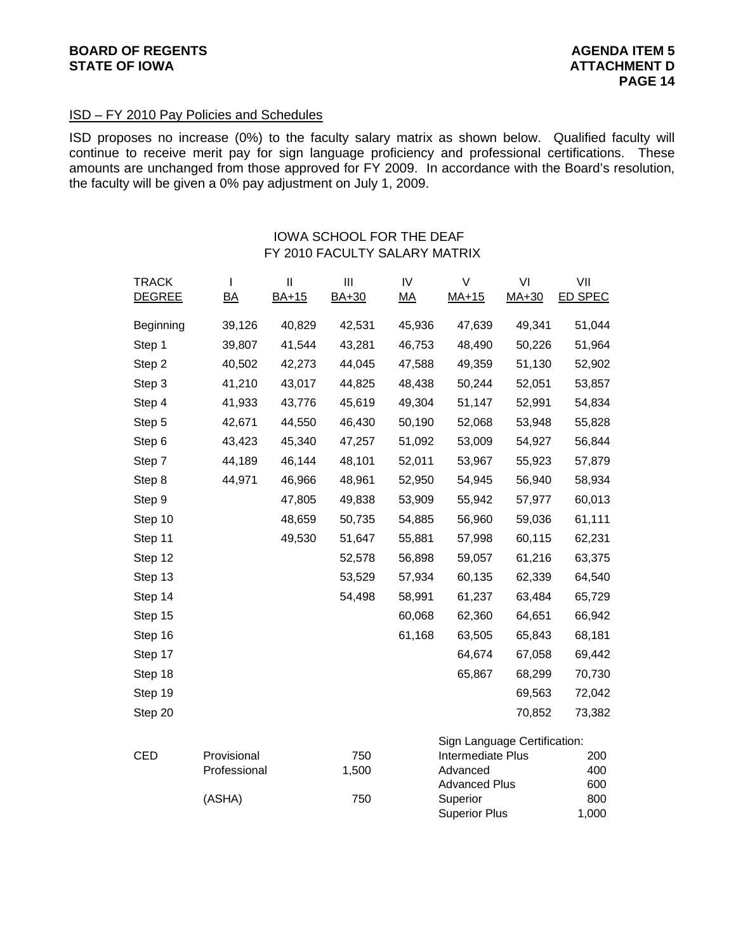# ISD – FY 2010 Pay Policies and Schedules

ISD proposes no increase (0%) to the faculty salary matrix as shown below. Qualified faculty will continue to receive merit pay for sign language proficiency and professional certifications. These amounts are unchanged from those approved for FY 2009. In accordance with the Board's resolution, the faculty will be given a 0% pay adjustment on July 1, 2009.

# IOWA SCHOOL FOR THE DEAF FY 2010 FACULTY SALARY MATRIX

| <b>TRACK</b>  | I                | Ш            | Ш      | IV               | V                                | VI      | VII            |
|---------------|------------------|--------------|--------|------------------|----------------------------------|---------|----------------|
| <b>DEGREE</b> | $\underline{BA}$ | <b>BA+15</b> | BA+30  | $\underline{MA}$ | $MA+15$                          | $MA+30$ | <b>ED SPEC</b> |
| Beginning     | 39,126           | 40,829       | 42,531 | 45,936           | 47,639                           | 49,341  | 51,044         |
| Step 1        | 39,807           | 41,544       | 43,281 | 46,753           | 48,490                           | 50,226  | 51,964         |
| Step 2        | 40,502           | 42,273       | 44,045 | 47,588           | 49,359                           | 51,130  | 52,902         |
| Step 3        | 41,210           | 43,017       | 44,825 | 48,438           | 50,244                           | 52,051  | 53,857         |
| Step 4        | 41,933           | 43,776       | 45,619 | 49,304           | 51,147                           | 52,991  | 54,834         |
| Step 5        | 42,671           | 44,550       | 46,430 | 50,190           | 52,068                           | 53,948  | 55,828         |
| Step 6        | 43,423           | 45,340       | 47,257 | 51,092           | 53,009                           | 54,927  | 56,844         |
| Step 7        | 44,189           | 46,144       | 48,101 | 52,011           | 53,967                           | 55,923  | 57,879         |
| Step 8        | 44,971           | 46,966       | 48,961 | 52,950           | 54,945                           | 56,940  | 58,934         |
| Step 9        |                  | 47,805       | 49,838 | 53,909           | 55,942                           | 57,977  | 60,013         |
| Step 10       |                  | 48,659       | 50,735 | 54,885           | 56,960                           | 59,036  | 61,111         |
| Step 11       |                  | 49,530       | 51,647 | 55,881           | 57,998                           | 60,115  | 62,231         |
| Step 12       |                  |              | 52,578 | 56,898           | 59,057                           | 61,216  | 63,375         |
| Step 13       |                  |              | 53,529 | 57,934           | 60,135                           | 62,339  | 64,540         |
| Step 14       |                  |              | 54,498 | 58,991           | 61,237                           | 63,484  | 65,729         |
| Step 15       |                  |              |        | 60,068           | 62,360                           | 64,651  | 66,942         |
| Step 16       |                  |              |        | 61,168           | 63,505                           | 65,843  | 68,181         |
| Step 17       |                  |              |        |                  | 64,674                           | 67,058  | 69,442         |
| Step 18       |                  |              |        |                  | 65,867                           | 68,299  | 70,730         |
| Step 19       |                  |              |        |                  |                                  | 69,563  | 72,042         |
| Step 20       |                  |              |        |                  |                                  | 70,852  | 73,382         |
|               |                  |              |        |                  | Sign Language Certification:     |         |                |
| <b>CED</b>    | Provisional      |              | 750    |                  | Intermediate Plus                |         | 200            |
|               | Professional     |              | 1,500  |                  | Advanced<br><b>Advanced Plus</b> |         | 400<br>600     |
|               | (ASHA)           |              | 750    |                  | Superior                         |         | 800            |
|               |                  |              |        |                  | <b>Superior Plus</b>             |         | 1,000          |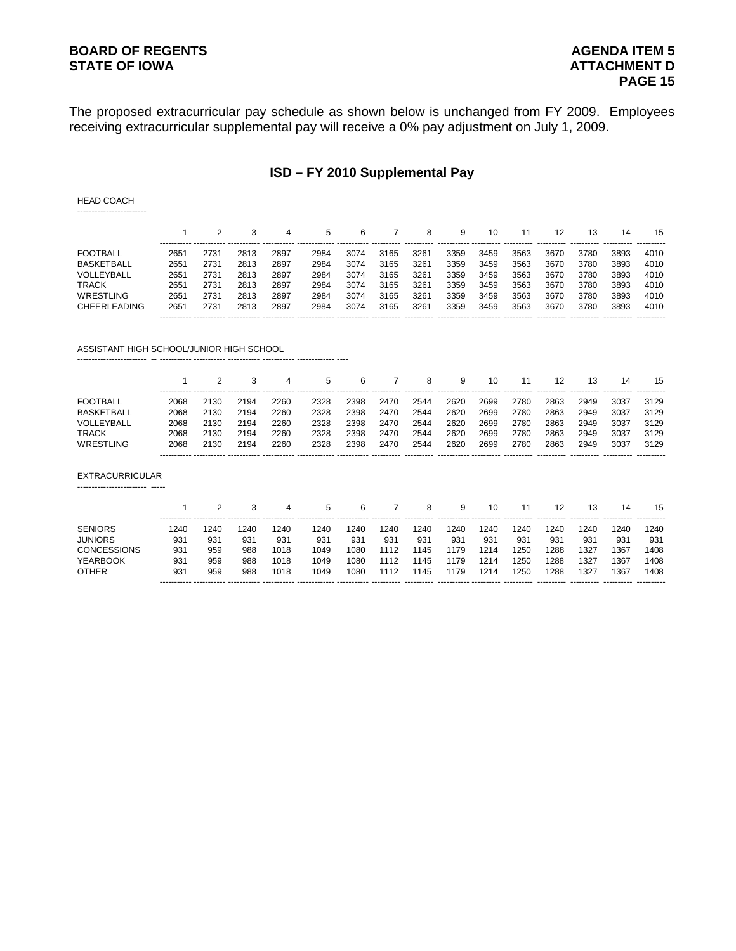# **BOARD OF REGENTS AGENDA ITEM 5**

The proposed extracurricular pay schedule as shown below is unchanged from FY 2009. Employees receiving extracurricular supplemental pay will receive a 0% pay adjustment on July 1, 2009.

# **ISD – FY 2010 Supplemental Pay**

HEAD COACH ------------------------

|                     |      |      |      | 4    | 5    |      |      |      |      | 10   |      |      | 13   | 14   | 15   |
|---------------------|------|------|------|------|------|------|------|------|------|------|------|------|------|------|------|
| <b>FOOTBALL</b>     | 265′ | 2731 | 2813 | 2897 | 2984 | 3074 | 3165 | 3261 | 3359 | 3459 | 3563 | 3670 | 3780 | 3893 | 4010 |
| <b>BASKETBALL</b>   | 2651 | 2731 | 2813 | 2897 | 2984 | 3074 | 3165 | 3261 | 3359 | 3459 | 3563 | 3670 | 3780 | 3893 | 4010 |
| VOLLEYBALL          | 2651 | 2731 | 2813 | 2897 | 2984 | 3074 | 3165 | 3261 | 3359 | 3459 | 3563 | 3670 | 3780 | 3893 | 4010 |
| TRACK               | 2651 | 2731 | 2813 | 2897 | 2984 | 3074 | 3165 | 3261 | 3359 | 3459 | 3563 | 3670 | 3780 | 3893 | 4010 |
| WRESTLING           | 2651 | 2731 | 2813 | 2897 | 2984 | 3074 | 3165 | 3261 | 3359 | 3459 | 3563 | 3670 | 3780 | 3893 | 4010 |
| <b>CHEERLEADING</b> | 2651 | 2731 | 2813 | 2897 | 2984 | 3074 | 3165 | 3261 | 3359 | 3459 | 3563 | 3670 | 3780 | 3893 | 4010 |
|                     |      |      |      |      |      |      |      |      |      |      |      |      |      |      |      |

ASSISTANT HIGH SCHOOL/JUNIOR HIGH SCHOOL

------------------------ -- ----------- ----------- ----------- ----------- ------------- ----

|                   |                                   |      |      |      | 5.   | 6    |      | 8    | 9    | 10   |            | 12         | 13          | 14          | 15          |
|-------------------|-----------------------------------|------|------|------|------|------|------|------|------|------|------------|------------|-------------|-------------|-------------|
| <b>FOOTBALL</b>   | 2068                              | 30   | 2194 | 2260 | 2328 | 2398 | 2470 | 2544 | 2620 | 2699 | 2780       | 2863       | 2949        | 3037        | 3129        |
| <b>BASKETBALL</b> | 2068                              | 2130 | 2194 | 2260 | 2328 | 2398 | 2470 | 2544 | 2620 | 2699 | 2780       | 2863       | 2949        | 3037        | 3129        |
| VOLLEYBALL        | 2068                              | 2130 | 2194 | 2260 | 2328 | 2398 | 2470 | 2544 | 2620 | 2699 | 2780       | 2863       | 2949        | 3037        | 3129        |
| TRACK             | 2068                              | 2130 | 2194 | 2260 | 2328 | 2398 | 2470 | 2544 | 2620 | 2699 | 2780       | 2863       | 2949        | 3037        | 3129        |
| WRESTLING         | 2068                              | 2130 | 2194 | 2260 | 2328 | 2398 | 2470 | 2544 | 2620 | 2699 | 2780       | 2863       | 2949        | 3037        | 3129        |
|                   | ----------- ----------- --------- |      |      |      |      |      |      |      |      |      | ---------- | ---------- | ----------- | ----------- | ----------- |

EXTRACURRICULAR ------------------------ -----

|                    |      |      |      | 4    | 5    | 6    |      | 8           |                         | 10   |            |            | 13          | 14         | 15          |
|--------------------|------|------|------|------|------|------|------|-------------|-------------------------|------|------------|------------|-------------|------------|-------------|
| <b>SENIORS</b>     | 1240 | 1240 | 1240 | 1240 | 1240 | 240  | 240  | 240         | 1240                    | 1240 | 1240       | 240        | 1240        | 1240       | 1240        |
| JUNIORS            | 931  | 931  | 93'  | 931  | 931  | 93'  | 931  | 931         | 931                     | 931  | 931        | 931        | 93'         | 931        | 931         |
| <b>CONCESSIONS</b> | 931  | 959  | 988  | 1018 | 1049 | 080  | 1112 | 145         | 1179                    | 1214 | 1250       | 288        | 1327        | 1367       | 1408        |
| YFARBOOK           | 931  | 959  | 988  | 1018 | 1049 | 080  | '112 | 145         | 1179                    | 1214 | 1250       | 288        | 1327        | 1367       | 1408        |
| <b>OTHER</b>       | 931  | 959  | 988  | 1018 | 1049 | 1080 | 1112 | 145         | 1179                    | 1214 | 1250       | 288        | 1327        | 1367       | 1408        |
|                    |      |      |      |      |      |      |      | ----------- | ------------ ---------- |      | ---------- | ---------- | ----------- | ---------- | ----------- |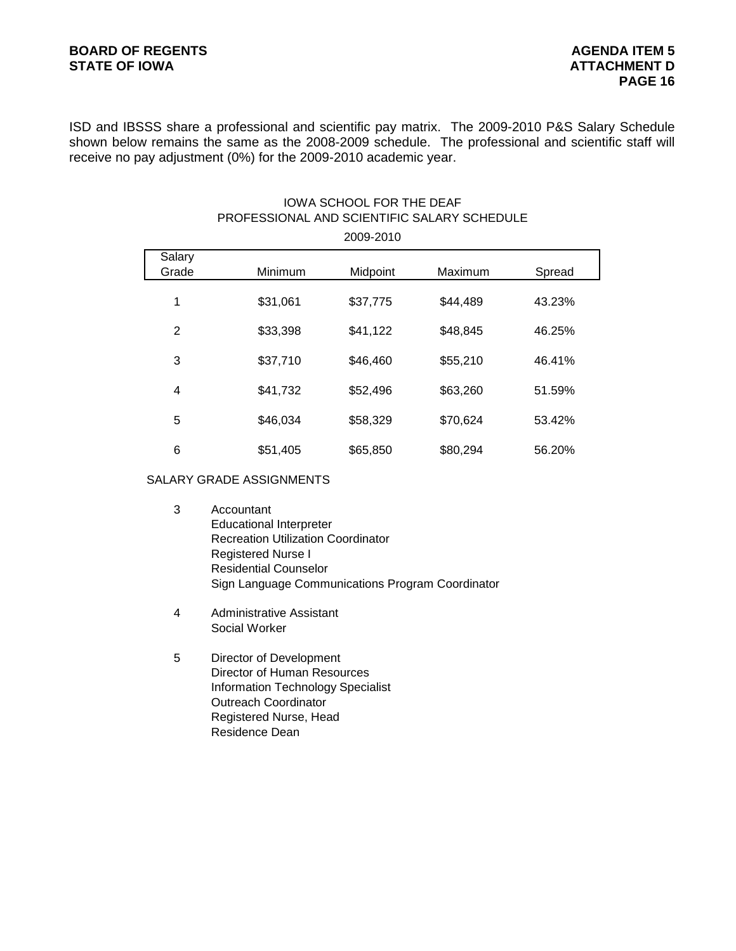ISD and IBSSS share a professional and scientific pay matrix. The 2009-2010 P&S Salary Schedule shown below remains the same as the 2008-2009 schedule. The professional and scientific staff will receive no pay adjustment (0%) for the 2009-2010 academic year.

# IOWA SCHOOL FOR THE DEAF PROFESSIONAL AND SCIENTIFIC SALARY SCHEDULE

| 2009-2010       |          |          |          |        |  |  |  |
|-----------------|----------|----------|----------|--------|--|--|--|
| Salary<br>Grade | Minimum  | Midpoint | Maximum  | Spread |  |  |  |
| 1               | \$31,061 | \$37,775 | \$44,489 | 43.23% |  |  |  |
| 2               | \$33,398 | \$41,122 | \$48,845 | 46.25% |  |  |  |
| 3               | \$37,710 | \$46,460 | \$55,210 | 46.41% |  |  |  |
| 4               | \$41,732 | \$52,496 | \$63,260 | 51.59% |  |  |  |
| 5               | \$46,034 | \$58,329 | \$70,624 | 53.42% |  |  |  |
| 6               | \$51,405 | \$65,850 | \$80,294 | 56.20% |  |  |  |

#### SALARY GRADE ASSIGNMENTS

- 3 Accountant Educational Interpreter Recreation Utilization Coordinator Registered Nurse I Residential Counselor Sign Language Communications Program Coordinator
- 4 Administrative Assistant Social Worker
- 5 Director of Development Director of Human Resources Information Technology Specialist Outreach Coordinator Registered Nurse, Head Residence Dean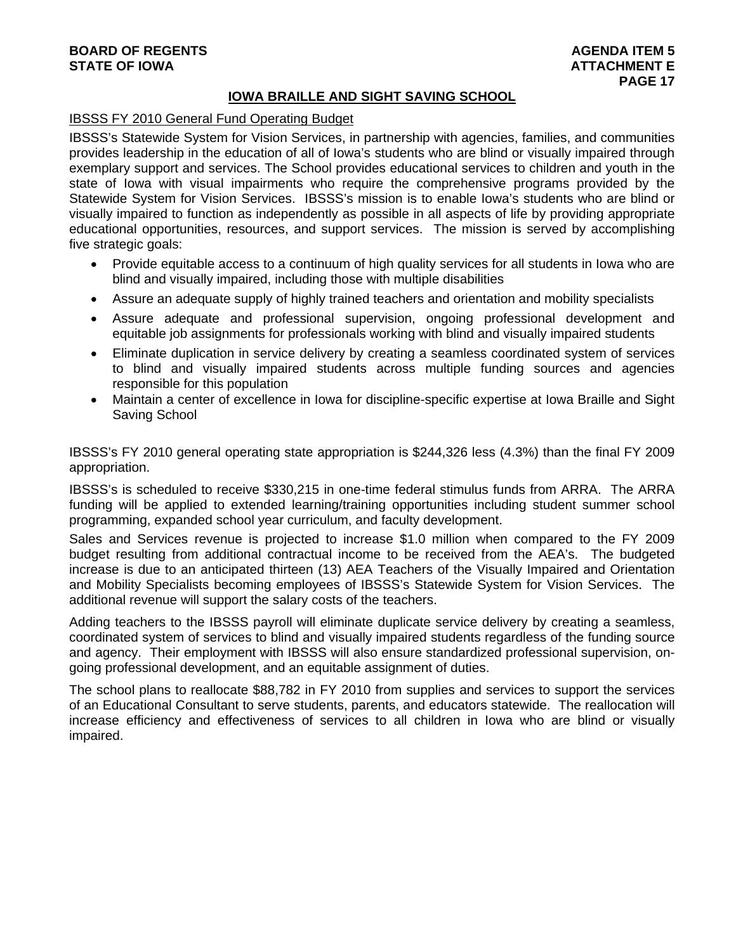# **BOARD OF REGENTS AGENUS AGENERATION CONSUMING A LIGHT AGENUA ITEM 5 STATE OF IOWA ATTACHMENT E**

# **IOWA BRAILLE AND SIGHT SAVING SCHOOL**

# IBSSS FY 2010 General Fund Operating Budget

IBSSS's Statewide System for Vision Services, in partnership with agencies, families, and communities provides leadership in the education of all of Iowa's students who are blind or visually impaired through exemplary support and services. The School provides educational services to children and youth in the state of Iowa with visual impairments who require the comprehensive programs provided by the Statewide System for Vision Services. IBSSS's mission is to enable Iowa's students who are blind or visually impaired to function as independently as possible in all aspects of life by providing appropriate educational opportunities, resources, and support services. The mission is served by accomplishing five strategic goals:

- Provide equitable access to a continuum of high quality services for all students in lowa who are blind and visually impaired, including those with multiple disabilities
- Assure an adequate supply of highly trained teachers and orientation and mobility specialists
- Assure adequate and professional supervision, ongoing professional development and equitable job assignments for professionals working with blind and visually impaired students
- Eliminate duplication in service delivery by creating a seamless coordinated system of services to blind and visually impaired students across multiple funding sources and agencies responsible for this population
- Maintain a center of excellence in Iowa for discipline-specific expertise at Iowa Braille and Sight Saving School

IBSSS's FY 2010 general operating state appropriation is \$244,326 less (4.3%) than the final FY 2009 appropriation.

IBSSS's is scheduled to receive \$330,215 in one-time federal stimulus funds from ARRA. The ARRA funding will be applied to extended learning/training opportunities including student summer school programming, expanded school year curriculum, and faculty development.

Sales and Services revenue is projected to increase \$1.0 million when compared to the FY 2009 budget resulting from additional contractual income to be received from the AEA's. The budgeted increase is due to an anticipated thirteen (13) AEA Teachers of the Visually Impaired and Orientation and Mobility Specialists becoming employees of IBSSS's Statewide System for Vision Services. The additional revenue will support the salary costs of the teachers.

Adding teachers to the IBSSS payroll will eliminate duplicate service delivery by creating a seamless, coordinated system of services to blind and visually impaired students regardless of the funding source and agency. Their employment with IBSSS will also ensure standardized professional supervision, ongoing professional development, and an equitable assignment of duties.

The school plans to reallocate \$88,782 in FY 2010 from supplies and services to support the services of an Educational Consultant to serve students, parents, and educators statewide. The reallocation will increase efficiency and effectiveness of services to all children in Iowa who are blind or visually impaired.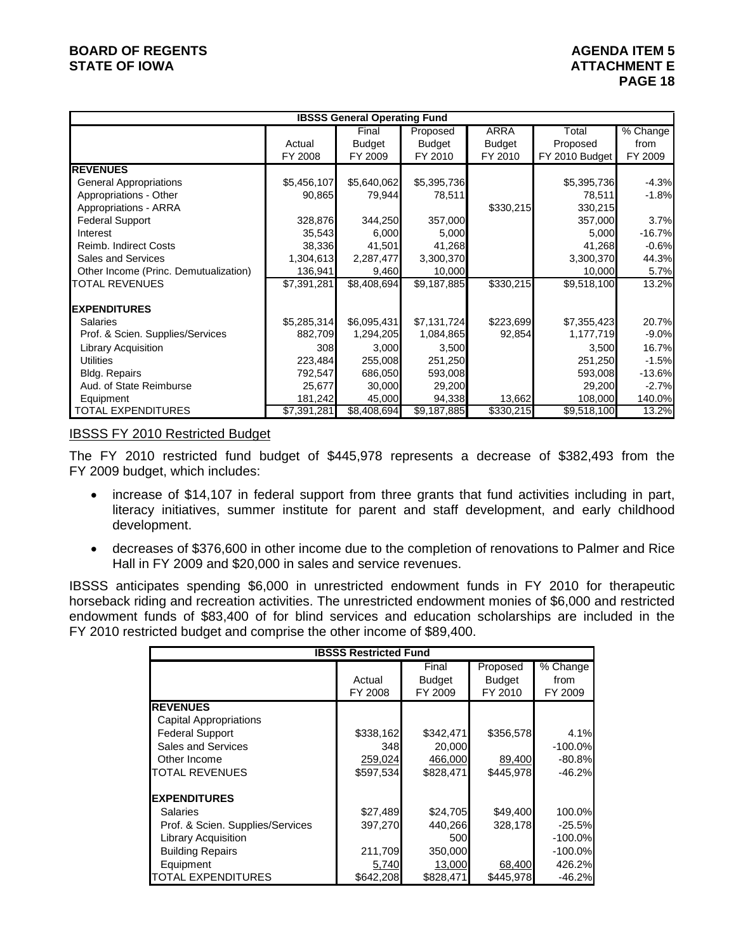# **BOARD OF REGENTS AGENUS AGENERATION CONSUMING A LIGHT AGENUA ITEM 5 STATE OF IOWA ATTACHMENT E**

|                                       | <b>IBSSS General Operating Fund</b> |               |               |               |                |            |  |  |  |
|---------------------------------------|-------------------------------------|---------------|---------------|---------------|----------------|------------|--|--|--|
|                                       |                                     | Final         | Proposed      | ARRA          | Total          | $%$ Change |  |  |  |
|                                       | Actual                              | <b>Budget</b> | <b>Budget</b> | <b>Budget</b> | Proposed       | from       |  |  |  |
|                                       | FY 2008                             | FY 2009       | FY 2010       | FY 2010       | FY 2010 Budget | FY 2009    |  |  |  |
| <b>REVENUES</b>                       |                                     |               |               |               |                |            |  |  |  |
| <b>General Appropriations</b>         | \$5,456,107                         | \$5,640,062   | \$5,395,736   |               | \$5,395,736    | $-4.3%$    |  |  |  |
| Appropriations - Other                | 90,865                              | 79,944        | 78,511        |               | 78,511         | $-1.8%$    |  |  |  |
| Appropriations - ARRA                 |                                     |               |               | \$330,215     | 330,215        |            |  |  |  |
| <b>Federal Support</b>                | 328,876                             | 344,250       | 357,000       |               | 357,000        | 3.7%       |  |  |  |
| Interest                              | 35,543                              | 6,000         | 5,000         |               | 5,000          | $-16.7%$   |  |  |  |
| Reimb. Indirect Costs                 | 38,336                              | 41,501        | 41,268        |               | 41,268         | $-0.6%$    |  |  |  |
| Sales and Services                    | 1,304,613                           | 2,287,477     | 3,300,370     |               | 3,300,370      | 44.3%      |  |  |  |
| Other Income (Princ. Demutualization) | 136,941                             | 9,460         | 10,000        |               | 10,000         | 5.7%       |  |  |  |
| TOTAL REVENUES                        | \$7,391,281                         | \$8,408,694   | \$9,187,885   | \$330,215     | \$9,518,100    | 13.2%      |  |  |  |
|                                       |                                     |               |               |               |                |            |  |  |  |
| <b>IEXPENDITURES</b>                  |                                     |               |               |               |                |            |  |  |  |
| Salaries                              | \$5,285,314                         | \$6,095,431   | \$7,131,724   | \$223,699     | \$7,355,423    | 20.7%      |  |  |  |
| Prof. & Scien. Supplies/Services      | 882,709                             | 1,294,205     | 1,084,865     | 92,854        | 1,177,719      | $-9.0%$    |  |  |  |
| <b>Library Acquisition</b>            | 308                                 | 3,000         | 3,500         |               | 3,500          | 16.7%      |  |  |  |
| <b>Utilities</b>                      | 223,484                             | 255,008       | 251,250       |               | 251,250        | $-1.5%$    |  |  |  |
| Bldg. Repairs                         | 792,547                             | 686,050       | 593,008       |               | 593,008        | $-13.6%$   |  |  |  |
| Aud. of State Reimburse               | 25,677                              | 30,000        | 29,200        |               | 29,200         | $-2.7%$    |  |  |  |
| Equipment                             | 181,242                             | 45,000        | 94,338        | 13,662        | 108,000        | 140.0%     |  |  |  |
| <b>TOTAL EXPENDITURES</b>             | \$7,391,281                         | \$8,408,694   | \$9,187,885   | \$330,215     | \$9,518,100    | 13.2%      |  |  |  |

#### **IBSSS FY 2010 Restricted Budget**

The FY 2010 restricted fund budget of \$445,978 represents a decrease of \$382,493 from the FY 2009 budget, which includes:

- increase of \$14,107 in federal support from three grants that fund activities including in part, literacy initiatives, summer institute for parent and staff development, and early childhood development.
- decreases of \$376,600 in other income due to the completion of renovations to Palmer and Rice Hall in FY 2009 and \$20,000 in sales and service revenues.

IBSSS anticipates spending \$6,000 in unrestricted endowment funds in FY 2010 for therapeutic horseback riding and recreation activities. The unrestricted endowment monies of \$6,000 and restricted endowment funds of \$83,400 of for blind services and education scholarships are included in the FY 2010 restricted budget and comprise the other income of \$89,400.

| <b>IBSSS Restricted Fund</b>     |           |               |               |           |  |  |  |  |
|----------------------------------|-----------|---------------|---------------|-----------|--|--|--|--|
|                                  |           | Final         | Proposed      | % Change  |  |  |  |  |
|                                  | Actual    | <b>Budget</b> | <b>Budget</b> | from      |  |  |  |  |
|                                  | FY 2008   | FY 2009       | FY 2010       | FY 2009   |  |  |  |  |
| <b>REVENUES</b>                  |           |               |               |           |  |  |  |  |
| Capital Appropriations           |           |               |               |           |  |  |  |  |
| <b>Federal Support</b>           | \$338,162 | \$342,471     | \$356,578     | 4.1%      |  |  |  |  |
| <b>Sales and Services</b>        | 348       | 20,000        |               | $-100.0%$ |  |  |  |  |
| Other Income                     | 259,024   | 466,000       | 89,400        | $-80.8%$  |  |  |  |  |
| <b>TOTAL REVENUES</b>            | \$597,534 | \$828,471     | \$445,978     | $-46.2%$  |  |  |  |  |
| <b>EXPENDITURES</b>              |           |               |               |           |  |  |  |  |
| Salaries                         | \$27,489  | \$24,705      | \$49,400      | 100.0%    |  |  |  |  |
| Prof. & Scien. Supplies/Services | 397,270   | 440,266       | 328.178       | $-25.5%$  |  |  |  |  |
| <b>Library Acquisition</b>       |           | 500           |               | $-100.0%$ |  |  |  |  |
| <b>Building Repairs</b>          | 211,709   | 350,000       |               | $-100.0%$ |  |  |  |  |
| Equipment                        | 5,740     | 13,000        | 68,400        | 426.2%    |  |  |  |  |
| <b>TOTAL EXPENDITURES</b>        | \$642,208 | \$828.471     | \$445.978     | $-46.2%$  |  |  |  |  |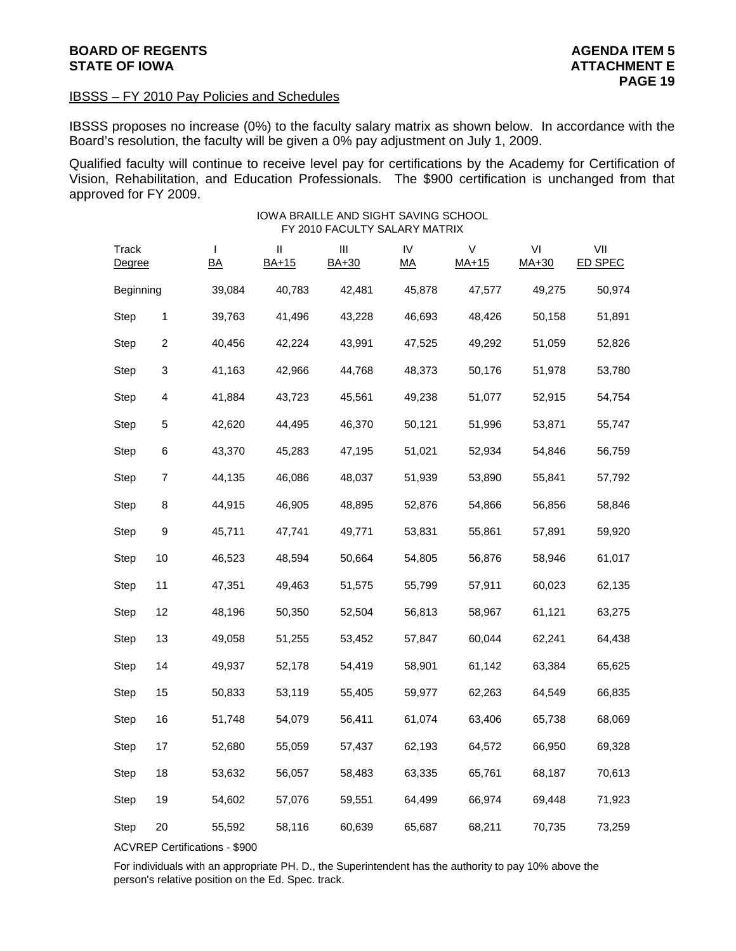#### IBSSS – FY 2010 Pay Policies and Schedules

IBSSS proposes no increase (0%) to the faculty salary matrix as shown below. In accordance with the Board's resolution, the faculty will be given a 0% pay adjustment on July 1, 2009.

Qualified faculty will continue to receive level pay for certifications by the Academy for Certification of Vision, Rehabilitation, and Education Professionals. The \$900 certification is unchanged from that approved for FY 2009.

IOWA BRAILLE AND SIGHT SAVING SCHOOL

# Track I II III IV V VI VII Degree BA BA+15 BA+30 MA MA+15 MA+30 ED SPEC Beginning 39,084 40,783 42,481 45,878 47,577 49,275 50,974 Step 1 39,763 41,496 43,228 46,693 48,426 50,158 51,891 Step 2 40,456 42,224 43,991 47,525 49,292 51,059 52,826 Step 3 41,163 42,966 44,768 48,373 50,176 51,978 53,780 Step 4 41,884 43,723 45,561 49,238 51,077 52,915 54,754 Step 5 42,620 44,495 46,370 50,121 51,996 53,871 55,747 Step 6 43,370 45,283 47,195 51,021 52,934 54,846 56,759 Step 7 44,135 46,086 48,037 51,939 53,890 55,841 57,792 Step 8 44,915 46,905 48,895 52,876 54,866 56,856 58,846 Step 9 45,711 47,741 49,771 53,831 55,861 57,891 59,920 Step 10 46,523 48,594 50,664 54,805 56,876 58,946 61,017 Step 11 47,351 49,463 51,575 55,799 57,911 60,023 62,135 Step 12 48,196 50,350 52,504 56,813 58,967 61,121 63,275 Step 13 49,058 51,255 53,452 57,847 60,044 62,241 64,438 Step 14 49,937 52,178 54,419 58,901 61,142 63,384 65,625 Step 15 50,833 53,119 55,405 59,977 62,263 64,549 66,835 Step 16 51,748 54,079 56,411 61,074 63,406 65,738 68,069 Step 17 52,680 55,059 57,437 62,193 64,572 66,950 69,328 Step 18 53,632 56,057 58,483 63,335 65,761 68,187 70,613 Step 19 54,602 57,076 59,551 64,499 66,974 69,448 71,923 Step 20 55,592 58,116 60,639 65,687 68,211 70,735 73,259 FY 2010 FACULTY SALARY MATRIX

ACVREP Certifications - \$900

For individuals with an appropriate PH. D., the Superintendent has the authority to pay 10% above the person's relative position on the Ed. Spec. track.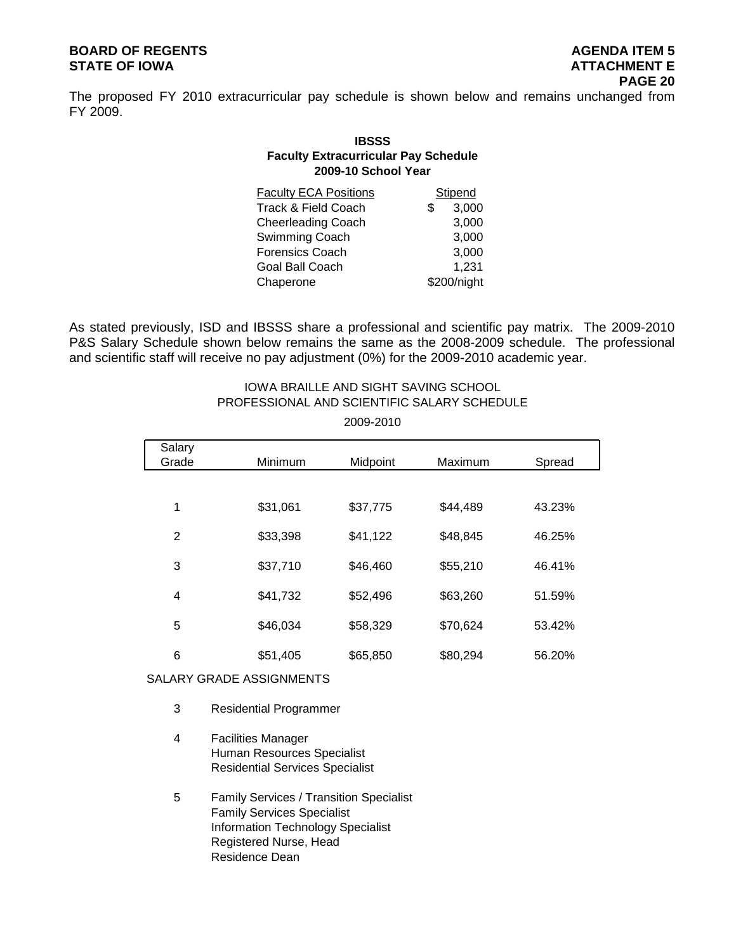# **BOARD OF REGENTS AGENUS AGENERATION CONSUMING A LIGHT AGENUA ITEM 5 STATE OF IOWA ATTACHMENT E**

The proposed FY 2010 extracurricular pay schedule is shown below and remains unchanged from FY 2009.

# **IBSSS Faculty Extracurricular Pay Schedule 2009-10 School Year**

|     | Stipend     |
|-----|-------------|
| \$. | 3,000       |
|     | 3,000       |
|     | 3,000       |
|     | 3,000       |
|     | 1,231       |
|     | \$200/night |
|     |             |

As stated previously, ISD and IBSSS share a professional and scientific pay matrix. The 2009-2010 P&S Salary Schedule shown below remains the same as the 2008-2009 schedule. The professional and scientific staff will receive no pay adjustment (0%) for the 2009-2010 academic year.

# IOWA BRAILLE AND SIGHT SAVING SCHOOL PROFESSIONAL AND SCIENTIFIC SALARY SCHEDULE

2009-2010

| Salary<br>Grade | Minimum  | Midpoint | Maximum  | Spread |
|-----------------|----------|----------|----------|--------|
|                 |          |          |          |        |
| 1               | \$31,061 | \$37,775 | \$44,489 | 43.23% |
| 2               | \$33,398 | \$41,122 | \$48,845 | 46.25% |
| 3               | \$37,710 | \$46,460 | \$55,210 | 46.41% |
| 4               | \$41,732 | \$52,496 | \$63,260 | 51.59% |
| 5               | \$46,034 | \$58,329 | \$70,624 | 53.42% |
| 6               | \$51,405 | \$65,850 | \$80,294 | 56.20% |
|                 |          |          |          |        |

#### SALARY GRADE ASSIGNMENTS

- 3 Residential Programmer
- 4 Facilities Manager Human Resources Specialist Residential Services Specialist
- 5 Family Services / Transition Specialist Family Services Specialist Information Technology Specialist Registered Nurse, Head Residence Dean